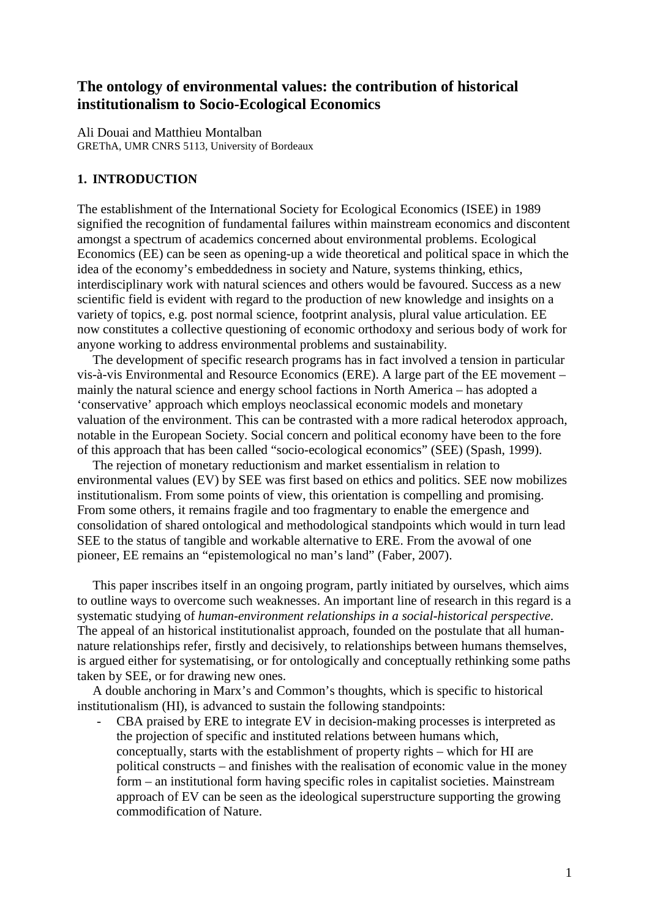# **The ontology of environmental values: the contribution of historical institutionalism to Socio-Ecological Economics**

Ali Douai and Matthieu Montalban GREThA, UMR CNRS 5113, University of Bordeaux

# **1. INTRODUCTION**

The establishment of the International Society for Ecological Economics (ISEE) in 1989 signified the recognition of fundamental failures within mainstream economics and discontent amongst a spectrum of academics concerned about environmental problems. Ecological Economics (EE) can be seen as opening-up a wide theoretical and political space in which the idea of the economy's embeddedness in society and Nature, systems thinking, ethics, interdisciplinary work with natural sciences and others would be favoured. Success as a new scientific field is evident with regard to the production of new knowledge and insights on a variety of topics, e.g. post normal science, footprint analysis, plural value articulation. EE now constitutes a collective questioning of economic orthodoxy and serious body of work for anyone working to address environmental problems and sustainability.

 The development of specific research programs has in fact involved a tension in particular vis-à-vis Environmental and Resource Economics (ERE). A large part of the EE movement – mainly the natural science and energy school factions in North America – has adopted a 'conservative' approach which employs neoclassical economic models and monetary valuation of the environment. This can be contrasted with a more radical heterodox approach, notable in the European Society. Social concern and political economy have been to the fore of this approach that has been called "socio-ecological economics" (SEE) (Spash, 1999).

 The rejection of monetary reductionism and market essentialism in relation to environmental values (EV) by SEE was first based on ethics and politics. SEE now mobilizes institutionalism. From some points of view, this orientation is compelling and promising. From some others, it remains fragile and too fragmentary to enable the emergence and consolidation of shared ontological and methodological standpoints which would in turn lead SEE to the status of tangible and workable alternative to ERE. From the avowal of one pioneer, EE remains an "epistemological no man's land" (Faber, 2007).

 This paper inscribes itself in an ongoing program, partly initiated by ourselves, which aims to outline ways to overcome such weaknesses. An important line of research in this regard is a systematic studying of *human-environment relationships in a social-historical perspective*. The appeal of an historical institutionalist approach, founded on the postulate that all humannature relationships refer, firstly and decisively, to relationships between humans themselves, is argued either for systematising, or for ontologically and conceptually rethinking some paths taken by SEE, or for drawing new ones.

 A double anchoring in Marx's and Common's thoughts, which is specific to historical institutionalism (HI), is advanced to sustain the following standpoints:

CBA praised by ERE to integrate EV in decision-making processes is interpreted as the projection of specific and instituted relations between humans which, conceptually, starts with the establishment of property rights – which for HI are political constructs – and finishes with the realisation of economic value in the money form – an institutional form having specific roles in capitalist societies. Mainstream approach of EV can be seen as the ideological superstructure supporting the growing commodification of Nature.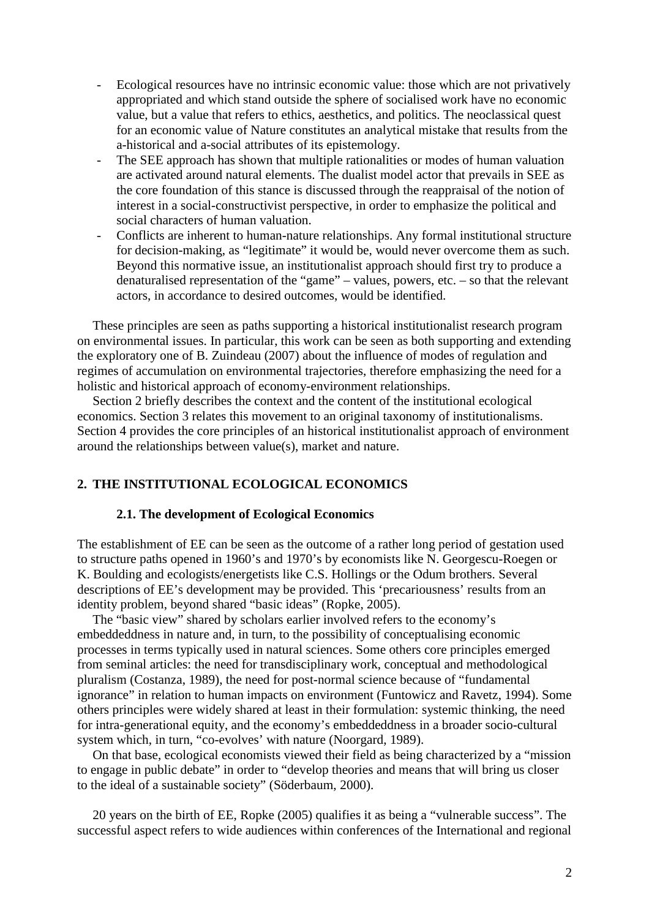- Ecological resources have no intrinsic economic value: those which are not privatively appropriated and which stand outside the sphere of socialised work have no economic value, but a value that refers to ethics, aesthetics, and politics. The neoclassical quest for an economic value of Nature constitutes an analytical mistake that results from the a-historical and a-social attributes of its epistemology.
- The SEE approach has shown that multiple rationalities or modes of human valuation are activated around natural elements. The dualist model actor that prevails in SEE as the core foundation of this stance is discussed through the reappraisal of the notion of interest in a social-constructivist perspective, in order to emphasize the political and social characters of human valuation.
- Conflicts are inherent to human-nature relationships. Any formal institutional structure for decision-making, as "legitimate" it would be, would never overcome them as such. Beyond this normative issue, an institutionalist approach should first try to produce a denaturalised representation of the "game" – values, powers, etc. – so that the relevant actors, in accordance to desired outcomes, would be identified.

 These principles are seen as paths supporting a historical institutionalist research program on environmental issues. In particular, this work can be seen as both supporting and extending the exploratory one of B. Zuindeau (2007) about the influence of modes of regulation and regimes of accumulation on environmental trajectories, therefore emphasizing the need for a holistic and historical approach of economy-environment relationships.

 Section 2 briefly describes the context and the content of the institutional ecological economics. Section 3 relates this movement to an original taxonomy of institutionalisms. Section 4 provides the core principles of an historical institutionalist approach of environment around the relationships between value(s), market and nature.

# **2. THE INSTITUTIONAL ECOLOGICAL ECONOMICS**

#### **2.1. The development of Ecological Economics**

The establishment of EE can be seen as the outcome of a rather long period of gestation used to structure paths opened in 1960's and 1970's by economists like N. Georgescu-Roegen or K. Boulding and ecologists/energetists like C.S. Hollings or the Odum brothers. Several descriptions of EE's development may be provided. This 'precariousness' results from an identity problem, beyond shared "basic ideas" (Ropke, 2005).

 The "basic view" shared by scholars earlier involved refers to the economy's embeddeddness in nature and, in turn, to the possibility of conceptualising economic processes in terms typically used in natural sciences. Some others core principles emerged from seminal articles: the need for transdisciplinary work, conceptual and methodological pluralism (Costanza, 1989), the need for post-normal science because of "fundamental ignorance" in relation to human impacts on environment (Funtowicz and Ravetz, 1994). Some others principles were widely shared at least in their formulation: systemic thinking, the need for intra-generational equity, and the economy's embeddeddness in a broader socio-cultural system which, in turn, "co-evolves' with nature (Noorgard, 1989).

 On that base, ecological economists viewed their field as being characterized by a "mission to engage in public debate" in order to "develop theories and means that will bring us closer to the ideal of a sustainable society" (Söderbaum, 2000).

 20 years on the birth of EE, Ropke (2005) qualifies it as being a "vulnerable success". The successful aspect refers to wide audiences within conferences of the International and regional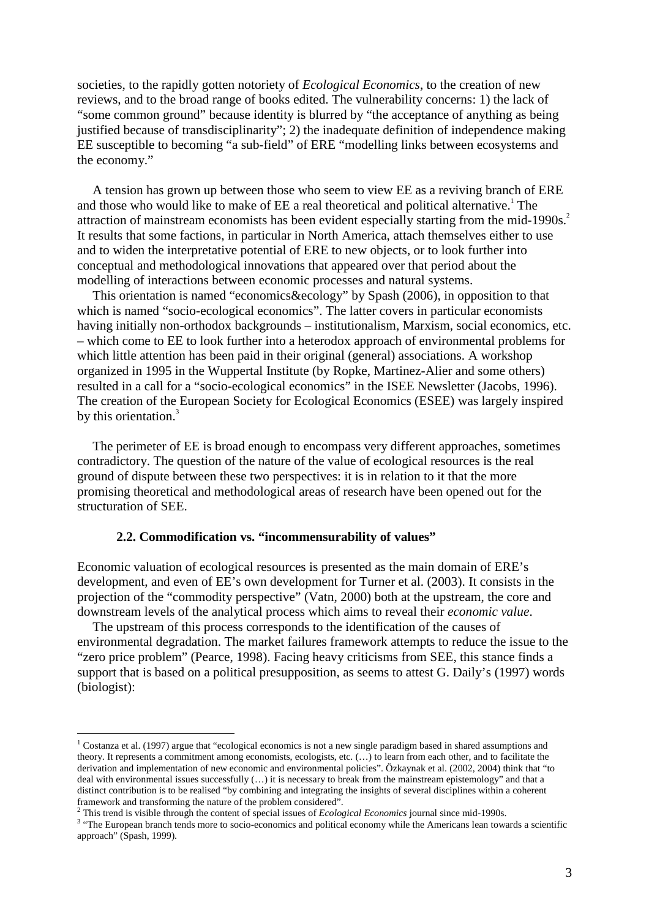societies, to the rapidly gotten notoriety of *Ecological Economics*, to the creation of new reviews, and to the broad range of books edited. The vulnerability concerns: 1) the lack of "some common ground" because identity is blurred by "the acceptance of anything as being justified because of transdisciplinarity"; 2) the inadequate definition of independence making EE susceptible to becoming "a sub-field" of ERE "modelling links between ecosystems and the economy."

 A tension has grown up between those who seem to view EE as a reviving branch of ERE and those who would like to make of EE a real theoretical and political alternative.<sup>1</sup> The attraction of mainstream economists has been evident especially starting from the mid-1990s.<sup>2</sup> It results that some factions, in particular in North America, attach themselves either to use and to widen the interpretative potential of ERE to new objects, or to look further into conceptual and methodological innovations that appeared over that period about the modelling of interactions between economic processes and natural systems.

 This orientation is named "economics&ecology" by Spash (2006), in opposition to that which is named "socio-ecological economics". The latter covers in particular economists having initially non-orthodox backgrounds – institutionalism, Marxism, social economics, etc. – which come to EE to look further into a heterodox approach of environmental problems for which little attention has been paid in their original (general) associations. A workshop organized in 1995 in the Wuppertal Institute (by Ropke, Martinez-Alier and some others) resulted in a call for a "socio-ecological economics" in the ISEE Newsletter (Jacobs, 1996). The creation of the European Society for Ecological Economics (ESEE) was largely inspired by this orientation.<sup>3</sup>

 The perimeter of EE is broad enough to encompass very different approaches, sometimes contradictory. The question of the nature of the value of ecological resources is the real ground of dispute between these two perspectives: it is in relation to it that the more promising theoretical and methodological areas of research have been opened out for the structuration of SEE.

### **2.2. Commodification vs. "incommensurability of values"**

Economic valuation of ecological resources is presented as the main domain of ERE's development, and even of EE's own development for Turner et al. (2003). It consists in the projection of the "commodity perspective" (Vatn, 2000) both at the upstream, the core and downstream levels of the analytical process which aims to reveal their *economic value*.

 The upstream of this process corresponds to the identification of the causes of environmental degradation. The market failures framework attempts to reduce the issue to the "zero price problem" (Pearce, 1998). Facing heavy criticisms from SEE, this stance finds a support that is based on a political presupposition, as seems to attest G. Daily's (1997) words (biologist): ľ

 $1$  Costanza et al. (1997) argue that "ecological economics is not a new single paradigm based in shared assumptions and theory. It represents a commitment among economists, ecologists, etc. (…) to learn from each other, and to facilitate the derivation and implementation of new economic and environmental policies". Özkaynak et al. (2002, 2004) think that "to deal with environmental issues successfully (…) it is necessary to break from the mainstream epistemology" and that a distinct contribution is to be realised "by combining and integrating the insights of several disciplines within a coherent framework and transforming the nature of the problem considered".

<sup>&</sup>lt;sup>2</sup> This trend is visible through the content of special issues of *Ecological Economics* journal since mid-1990s.

<sup>&</sup>lt;sup>3</sup> "The European branch tends more to socio-economics and political economy while the Americans lean towards a scientific approach" (Spash, 1999).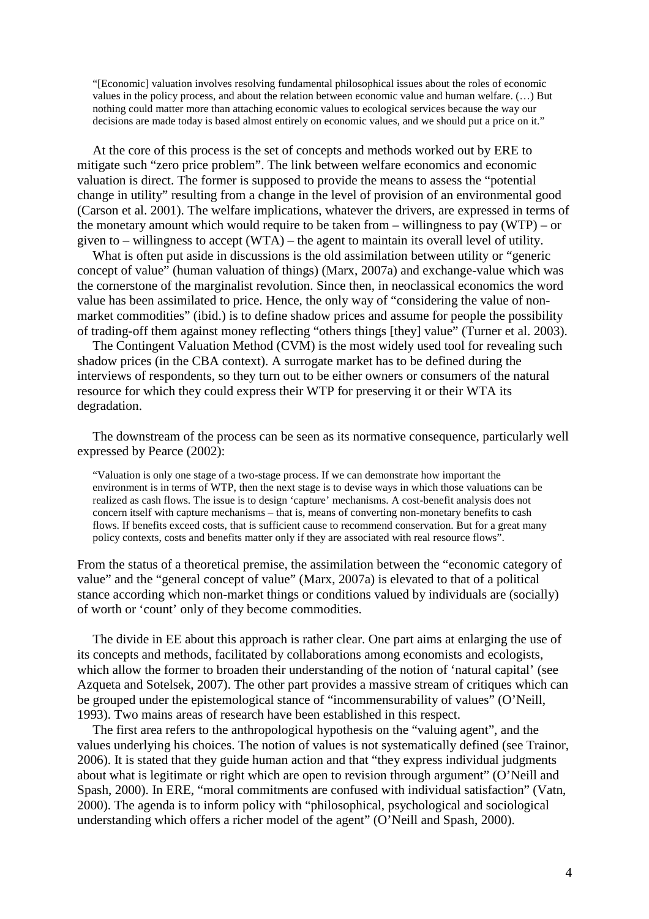"[Economic] valuation involves resolving fundamental philosophical issues about the roles of economic values in the policy process, and about the relation between economic value and human welfare. (…) But nothing could matter more than attaching economic values to ecological services because the way our decisions are made today is based almost entirely on economic values, and we should put a price on it."

 At the core of this process is the set of concepts and methods worked out by ERE to mitigate such "zero price problem". The link between welfare economics and economic valuation is direct. The former is supposed to provide the means to assess the "potential change in utility" resulting from a change in the level of provision of an environmental good (Carson et al. 2001). The welfare implications, whatever the drivers, are expressed in terms of the monetary amount which would require to be taken from – willingness to pay (WTP) – or given to – willingness to accept (WTA) – the agent to maintain its overall level of utility.

 What is often put aside in discussions is the old assimilation between utility or "generic concept of value" (human valuation of things) (Marx, 2007a) and exchange-value which was the cornerstone of the marginalist revolution. Since then, in neoclassical economics the word value has been assimilated to price. Hence, the only way of "considering the value of nonmarket commodities" (ibid.) is to define shadow prices and assume for people the possibility of trading-off them against money reflecting "others things [they] value" (Turner et al. 2003).

 The Contingent Valuation Method (CVM) is the most widely used tool for revealing such shadow prices (in the CBA context). A surrogate market has to be defined during the interviews of respondents, so they turn out to be either owners or consumers of the natural resource for which they could express their WTP for preserving it or their WTA its degradation.

 The downstream of the process can be seen as its normative consequence, particularly well expressed by Pearce (2002):

"Valuation is only one stage of a two-stage process. If we can demonstrate how important the environment is in terms of WTP, then the next stage is to devise ways in which those valuations can be realized as cash flows. The issue is to design 'capture' mechanisms. A cost-benefit analysis does not concern itself with capture mechanisms – that is, means of converting non-monetary benefits to cash flows. If benefits exceed costs, that is sufficient cause to recommend conservation. But for a great many policy contexts, costs and benefits matter only if they are associated with real resource flows".

From the status of a theoretical premise, the assimilation between the "economic category of value" and the "general concept of value" (Marx, 2007a) is elevated to that of a political stance according which non-market things or conditions valued by individuals are (socially) of worth or 'count' only of they become commodities.

 The divide in EE about this approach is rather clear. One part aims at enlarging the use of its concepts and methods, facilitated by collaborations among economists and ecologists, which allow the former to broaden their understanding of the notion of 'natural capital' (see Azqueta and Sotelsek, 2007). The other part provides a massive stream of critiques which can be grouped under the epistemological stance of "incommensurability of values" (O'Neill, 1993). Two mains areas of research have been established in this respect.

 The first area refers to the anthropological hypothesis on the "valuing agent", and the values underlying his choices. The notion of values is not systematically defined (see Trainor, 2006). It is stated that they guide human action and that "they express individual judgments about what is legitimate or right which are open to revision through argument" (O'Neill and Spash, 2000). In ERE, "moral commitments are confused with individual satisfaction" (Vatn, 2000). The agenda is to inform policy with "philosophical, psychological and sociological understanding which offers a richer model of the agent" (O'Neill and Spash, 2000).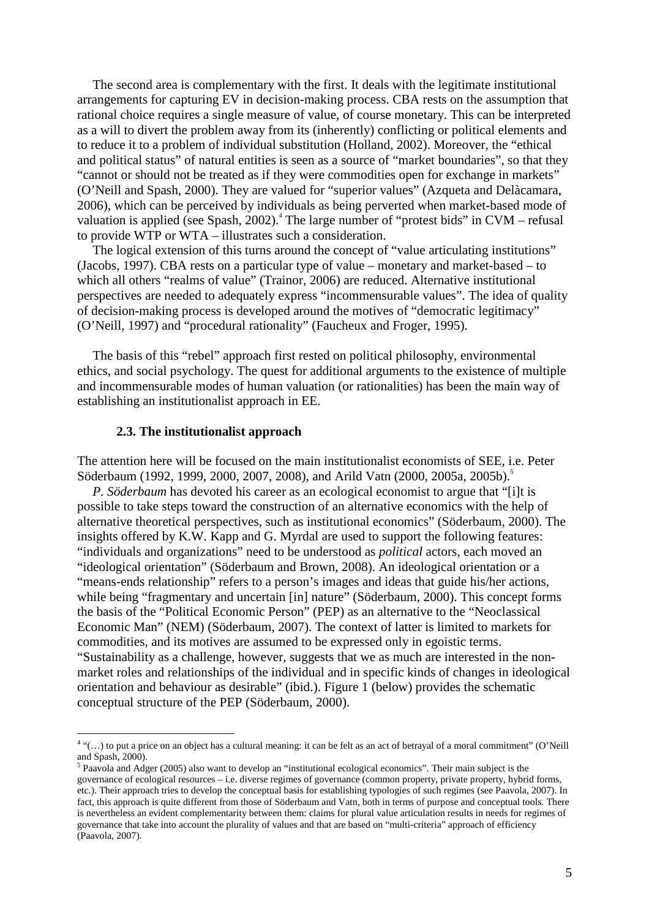The second area is complementary with the first. It deals with the legitimate institutional arrangements for capturing EV in decision-making process. CBA rests on the assumption that rational choice requires a single measure of value, of course monetary. This can be interpreted as a will to divert the problem away from its (inherently) conflicting or political elements and to reduce it to a problem of individual substitution (Holland, 2002). Moreover, the "ethical and political status" of natural entities is seen as a source of "market boundaries", so that they "cannot or should not be treated as if they were commodities open for exchange in markets" (O'Neill and Spash, 2000). They are valued for "superior values" (Azqueta and Delàcamara, 2006), which can be perceived by individuals as being perverted when market-based mode of valuation is applied (see Spash, 2002).<sup>4</sup> The large number of "protest bids" in CVM – refusal to provide WTP or WTA – illustrates such a consideration.

 The logical extension of this turns around the concept of "value articulating institutions" (Jacobs, 1997). CBA rests on a particular type of value – monetary and market-based – to which all others "realms of value" (Trainor, 2006) are reduced. Alternative institutional perspectives are needed to adequately express "incommensurable values". The idea of quality of decision-making process is developed around the motives of "democratic legitimacy" (O'Neill, 1997) and "procedural rationality" (Faucheux and Froger, 1995).

 The basis of this "rebel" approach first rested on political philosophy, environmental ethics, and social psychology. The quest for additional arguments to the existence of multiple and incommensurable modes of human valuation (or rationalities) has been the main way of establishing an institutionalist approach in EE.

#### **2.3. The institutionalist approach**

The attention here will be focused on the main institutionalist economists of SEE, i.e. Peter Söderbaum (1992, 1999, 2000, 2007, 2008), and Arild Vatn (2000, 2005a, 2005b).<sup>5</sup>

*P. Söderbaum* has devoted his career as an ecological economist to argue that "[i]t is possible to take steps toward the construction of an alternative economics with the help of alternative theoretical perspectives, such as institutional economics" (Söderbaum, 2000). The insights offered by K.W. Kapp and G. Myrdal are used to support the following features: "individuals and organizations" need to be understood as *political* actors, each moved an "ideological orientation" (Söderbaum and Brown, 2008). An ideological orientation or a "means-ends relationship" refers to a person's images and ideas that guide his/her actions, while being "fragmentary and uncertain [in] nature" (Söderbaum, 2000). This concept forms the basis of the "Political Economic Person" (PEP) as an alternative to the "Neoclassical Economic Man" (NEM) (Söderbaum, 2007). The context of latter is limited to markets for commodities, and its motives are assumed to be expressed only in egoistic terms. "Sustainability as a challenge, however, suggests that we as much are interested in the nonmarket roles and relationships of the individual and in specific kinds of changes in ideological orientation and behaviour as desirable" (ibid.). Figure 1 (below) provides the schematic conceptual structure of the PEP (Söderbaum, 2000).

 4 "(…) to put a price on an object has a cultural meaning: it can be felt as an act of betrayal of a moral commitment" (O'Neill and Spash, 2000).

<sup>&</sup>lt;sup>5</sup> Paavola and Adger (2005) also want to develop an "institutional ecological economics". Their main subject is the governance of ecological resources – i.e. diverse regimes of governance (common property, private property, hybrid forms, etc.). Their approach tries to develop the conceptual basis for establishing typologies of such regimes (see Paavola, 2007). In fact, this approach is quite different from those of Söderbaum and Vatn, both in terms of purpose and conceptual tools. There is nevertheless an evident complementarity between them: claims for plural value articulation results in needs for regimes of governance that take into account the plurality of values and that are based on "multi-criteria" approach of efficiency (Paavola, 2007).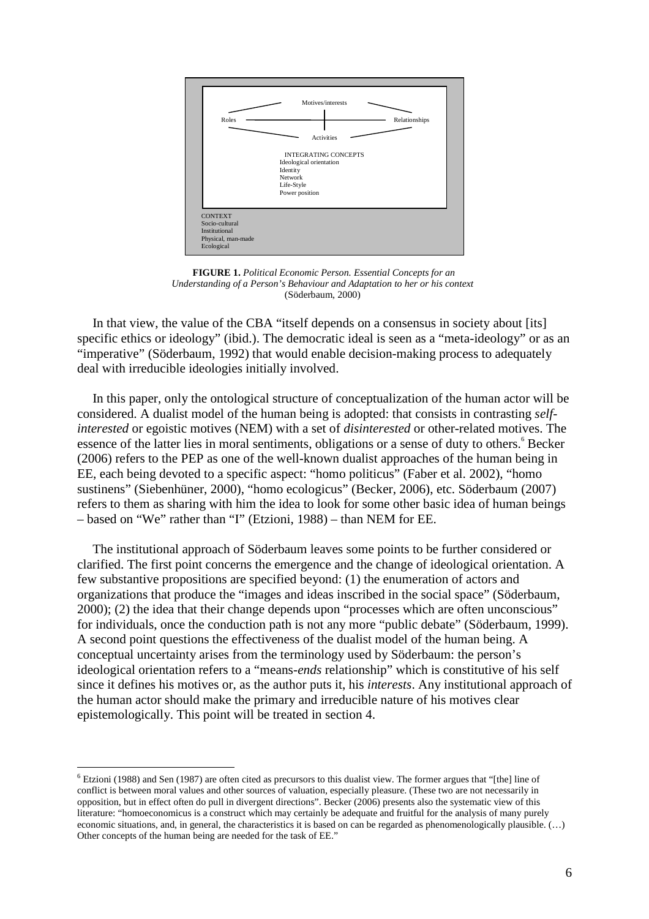

**FIGURE 1.** *Political Economic Person. Essential Concepts for an Understanding of a Person's Behaviour and Adaptation to her or his context*  (Söderbaum, 2000)

 In that view, the value of the CBA "itself depends on a consensus in society about [its] specific ethics or ideology" (ibid.). The democratic ideal is seen as a "meta-ideology" or as an "imperative" (Söderbaum, 1992) that would enable decision-making process to adequately deal with irreducible ideologies initially involved.

 In this paper, only the ontological structure of conceptualization of the human actor will be considered. A dualist model of the human being is adopted: that consists in contrasting *selfinterested* or egoistic motives (NEM) with a set of *disinterested* or other-related motives. The essence of the latter lies in moral sentiments, obligations or a sense of duty to others. Becker (2006) refers to the PEP as one of the well-known dualist approaches of the human being in EE, each being devoted to a specific aspect: "homo politicus" (Faber et al. 2002), "homo sustinens" (Siebenhüner, 2000), "homo ecologicus" (Becker, 2006), etc. Söderbaum (2007) refers to them as sharing with him the idea to look for some other basic idea of human beings – based on "We" rather than "I" (Etzioni, 1988) – than NEM for EE.

 The institutional approach of Söderbaum leaves some points to be further considered or clarified. The first point concerns the emergence and the change of ideological orientation. A few substantive propositions are specified beyond: (1) the enumeration of actors and organizations that produce the "images and ideas inscribed in the social space" (Söderbaum, 2000); (2) the idea that their change depends upon "processes which are often unconscious" for individuals, once the conduction path is not any more "public debate" (Söderbaum, 1999). A second point questions the effectiveness of the dualist model of the human being. A conceptual uncertainty arises from the terminology used by Söderbaum: the person's ideological orientation refers to a "means-*ends* relationship" which is constitutive of his self since it defines his motives or, as the author puts it, his *interests*. Any institutional approach of the human actor should make the primary and irreducible nature of his motives clear epistemologically. This point will be treated in section 4.

 $6$  Etzioni (1988) and Sen (1987) are often cited as precursors to this dualist view. The former argues that "[the] line of conflict is between moral values and other sources of valuation, especially pleasure. (These two are not necessarily in opposition, but in effect often do pull in divergent directions". Becker (2006) presents also the systematic view of this literature: "homoeconomicus is a construct which may certainly be adequate and fruitful for the analysis of many purely economic situations, and, in general, the characteristics it is based on can be regarded as phenomenologically plausible. (…) Other concepts of the human being are needed for the task of EE."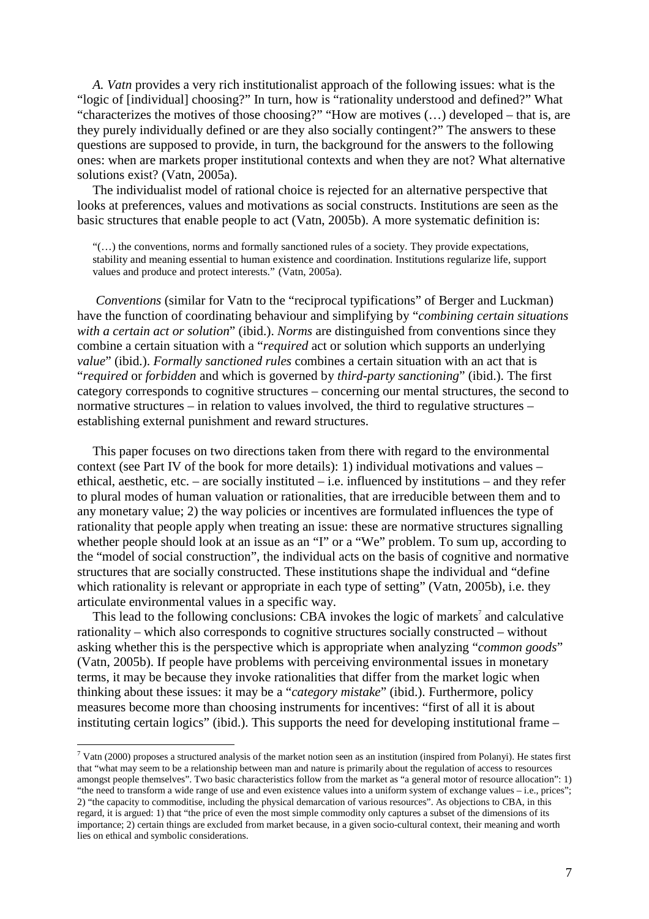*A. Vatn* provides a very rich institutionalist approach of the following issues: what is the "logic of [individual] choosing?" In turn, how is "rationality understood and defined?" What "characterizes the motives of those choosing?" "How are motives (…) developed – that is, are they purely individually defined or are they also socially contingent?" The answers to these questions are supposed to provide, in turn, the background for the answers to the following ones: when are markets proper institutional contexts and when they are not? What alternative solutions exist? (Vatn, 2005a).

 The individualist model of rational choice is rejected for an alternative perspective that looks at preferences, values and motivations as social constructs. Institutions are seen as the basic structures that enable people to act (Vatn, 2005b). A more systematic definition is:

 $\lq(\ldots)$  the conventions, norms and formally sanctioned rules of a society. They provide expectations, stability and meaning essential to human existence and coordination. Institutions regularize life, support values and produce and protect interests." (Vatn, 2005a).

*Conventions* (similar for Vatn to the "reciprocal typifications" of Berger and Luckman) have the function of coordinating behaviour and simplifying by "*combining certain situations with a certain act or solution*" (ibid.). *Norms* are distinguished from conventions since they combine a certain situation with a "*required* act or solution which supports an underlying *value*" (ibid.). *Formally sanctioned rules* combines a certain situation with an act that is "*required* or *forbidden* and which is governed by *third-party sanctioning*" (ibid.). The first category corresponds to cognitive structures – concerning our mental structures, the second to normative structures – in relation to values involved, the third to regulative structures – establishing external punishment and reward structures.

 This paper focuses on two directions taken from there with regard to the environmental context (see Part IV of the book for more details): 1) individual motivations and values – ethical, aesthetic, etc. – are socially instituted – i.e. influenced by institutions – and they refer to plural modes of human valuation or rationalities, that are irreducible between them and to any monetary value; 2) the way policies or incentives are formulated influences the type of rationality that people apply when treating an issue: these are normative structures signalling whether people should look at an issue as an "I" or a "We" problem. To sum up, according to the "model of social construction", the individual acts on the basis of cognitive and normative structures that are socially constructed. These institutions shape the individual and "define which rationality is relevant or appropriate in each type of setting" (Vatn, 2005b), i.e. they articulate environmental values in a specific way.

This lead to the following conclusions: CBA invokes the logic of markets<sup> $7$ </sup> and calculative rationality – which also corresponds to cognitive structures socially constructed – without asking whether this is the perspective which is appropriate when analyzing "*common goods*" (Vatn, 2005b). If people have problems with perceiving environmental issues in monetary terms, it may be because they invoke rationalities that differ from the market logic when thinking about these issues: it may be a "*category mistake*" (ibid.). Furthermore, policy measures become more than choosing instruments for incentives: "first of all it is about instituting certain logics" (ibid.). This supports the need for developing institutional frame –

 $^7$  Vatn (2000) proposes a structured analysis of the market notion seen as an institution (inspired from Polanyi). He states first that "what may seem to be a relationship between man and nature is primarily about the regulation of access to resources amongst people themselves". Two basic characteristics follow from the market as "a general motor of resource allocation": 1) "the need to transform a wide range of use and even existence values into a uniform system of exchange values – i.e., prices"; 2) "the capacity to commoditise, including the physical demarcation of various resources". As objections to CBA, in this regard, it is argued: 1) that "the price of even the most simple commodity only captures a subset of the dimensions of its importance; 2) certain things are excluded from market because, in a given socio-cultural context, their meaning and worth lies on ethical and symbolic considerations.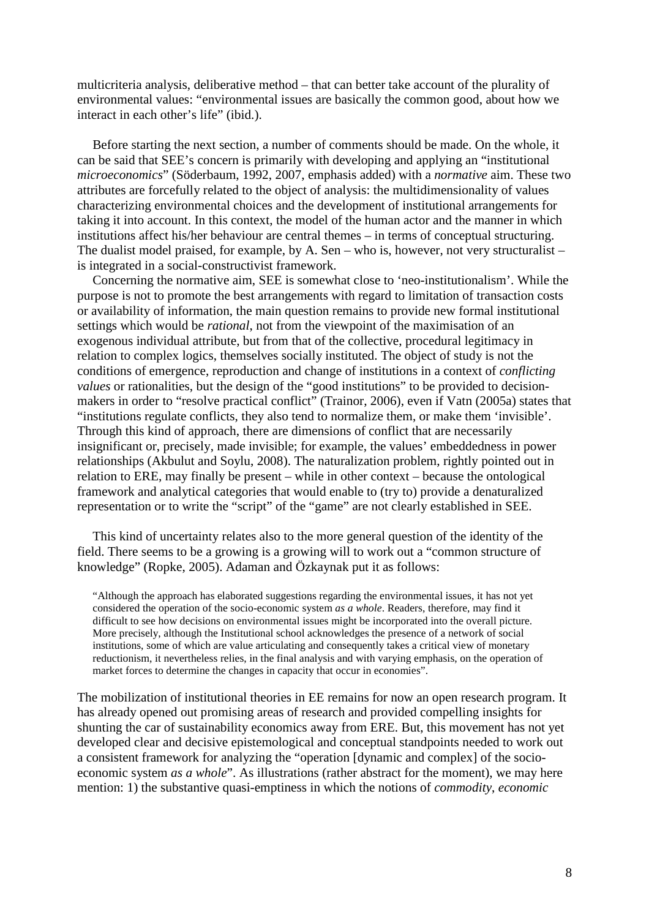multicriteria analysis, deliberative method – that can better take account of the plurality of environmental values: "environmental issues are basically the common good, about how we interact in each other's life" (ibid.).

 Before starting the next section, a number of comments should be made. On the whole, it can be said that SEE's concern is primarily with developing and applying an "institutional *microeconomics*" (Söderbaum, 1992, 2007, emphasis added) with a *normative* aim. These two attributes are forcefully related to the object of analysis: the multidimensionality of values characterizing environmental choices and the development of institutional arrangements for taking it into account. In this context, the model of the human actor and the manner in which institutions affect his/her behaviour are central themes – in terms of conceptual structuring. The dualist model praised, for example, by A. Sen – who is, however, not very structuralist – is integrated in a social-constructivist framework.

 Concerning the normative aim, SEE is somewhat close to 'neo-institutionalism'. While the purpose is not to promote the best arrangements with regard to limitation of transaction costs or availability of information, the main question remains to provide new formal institutional settings which would be *rational*, not from the viewpoint of the maximisation of an exogenous individual attribute, but from that of the collective, procedural legitimacy in relation to complex logics, themselves socially instituted. The object of study is not the conditions of emergence, reproduction and change of institutions in a context of *conflicting values* or rationalities, but the design of the "good institutions" to be provided to decisionmakers in order to "resolve practical conflict" (Trainor, 2006), even if Vatn (2005a) states that "institutions regulate conflicts, they also tend to normalize them, or make them 'invisible'. Through this kind of approach, there are dimensions of conflict that are necessarily insignificant or, precisely, made invisible; for example, the values' embeddedness in power relationships (Akbulut and Soylu, 2008). The naturalization problem, rightly pointed out in relation to ERE, may finally be present – while in other context – because the ontological framework and analytical categories that would enable to (try to) provide a denaturalized representation or to write the "script" of the "game" are not clearly established in SEE.

 This kind of uncertainty relates also to the more general question of the identity of the field. There seems to be a growing is a growing will to work out a "common structure of knowledge" (Ropke, 2005). Adaman and Özkaynak put it as follows:

"Although the approach has elaborated suggestions regarding the environmental issues, it has not yet considered the operation of the socio-economic system *as a whole*. Readers, therefore, may find it difficult to see how decisions on environmental issues might be incorporated into the overall picture. More precisely, although the Institutional school acknowledges the presence of a network of social institutions, some of which are value articulating and consequently takes a critical view of monetary reductionism, it nevertheless relies, in the final analysis and with varying emphasis, on the operation of market forces to determine the changes in capacity that occur in economies".

The mobilization of institutional theories in EE remains for now an open research program. It has already opened out promising areas of research and provided compelling insights for shunting the car of sustainability economics away from ERE. But, this movement has not yet developed clear and decisive epistemological and conceptual standpoints needed to work out a consistent framework for analyzing the "operation [dynamic and complex] of the socioeconomic system *as a whole*". As illustrations (rather abstract for the moment), we may here mention: 1) the substantive quasi-emptiness in which the notions of *commodity*, *economic*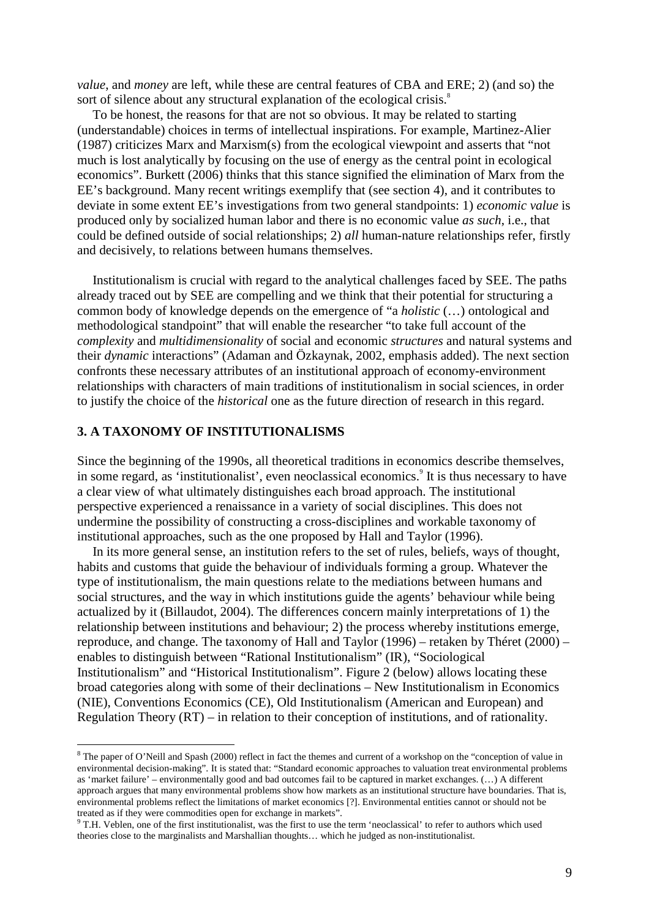*value*, and *money* are left, while these are central features of CBA and ERE; 2) (and so) the sort of silence about any structural explanation of the ecological crisis.<sup>8</sup>

 To be honest, the reasons for that are not so obvious. It may be related to starting (understandable) choices in terms of intellectual inspirations. For example, Martinez-Alier (1987) criticizes Marx and Marxism(s) from the ecological viewpoint and asserts that "not much is lost analytically by focusing on the use of energy as the central point in ecological economics". Burkett (2006) thinks that this stance signified the elimination of Marx from the EE's background. Many recent writings exemplify that (see section 4), and it contributes to deviate in some extent EE's investigations from two general standpoints: 1) *economic value* is produced only by socialized human labor and there is no economic value *as such*, i.e., that could be defined outside of social relationships; 2) *all* human-nature relationships refer, firstly and decisively, to relations between humans themselves.

 Institutionalism is crucial with regard to the analytical challenges faced by SEE. The paths already traced out by SEE are compelling and we think that their potential for structuring a common body of knowledge depends on the emergence of "a *holistic* (…) ontological and methodological standpoint" that will enable the researcher "to take full account of the *complexity* and *multidimensionality* of social and economic *structures* and natural systems and their *dynamic* interactions" (Adaman and Özkaynak, 2002, emphasis added). The next section confronts these necessary attributes of an institutional approach of economy-environment relationships with characters of main traditions of institutionalism in social sciences, in order to justify the choice of the *historical* one as the future direction of research in this regard.

# **3. A TAXONOMY OF INSTITUTIONALISMS**

 $\overline{a}$ 

Since the beginning of the 1990s, all theoretical traditions in economics describe themselves, in some regard, as 'institutionalist', even neoclassical economics.<sup>9</sup> It is thus necessary to have a clear view of what ultimately distinguishes each broad approach. The institutional perspective experienced a renaissance in a variety of social disciplines. This does not undermine the possibility of constructing a cross-disciplines and workable taxonomy of institutional approaches, such as the one proposed by Hall and Taylor (1996).

 In its more general sense, an institution refers to the set of rules, beliefs, ways of thought, habits and customs that guide the behaviour of individuals forming a group. Whatever the type of institutionalism, the main questions relate to the mediations between humans and social structures, and the way in which institutions guide the agents' behaviour while being actualized by it (Billaudot, 2004). The differences concern mainly interpretations of 1) the relationship between institutions and behaviour; 2) the process whereby institutions emerge, reproduce, and change. The taxonomy of Hall and Taylor (1996) – retaken by Théret (2000) – enables to distinguish between "Rational Institutionalism" (IR), "Sociological Institutionalism" and "Historical Institutionalism". Figure 2 (below) allows locating these broad categories along with some of their declinations – New Institutionalism in Economics (NIE), Conventions Economics (CE), Old Institutionalism (American and European) and Regulation Theory (RT) – in relation to their conception of institutions, and of rationality.

<sup>&</sup>lt;sup>8</sup> The paper of O'Neill and Spash (2000) reflect in fact the themes and current of a workshop on the "conception of value in environmental decision-making". It is stated that: "Standard economic approaches to valuation treat environmental problems as 'market failure' – environmentally good and bad outcomes fail to be captured in market exchanges. (…) A different approach argues that many environmental problems show how markets as an institutional structure have boundaries. That is, environmental problems reflect the limitations of market economics [?]. Environmental entities cannot or should not be treated as if they were commodities open for exchange in markets".

<sup>&</sup>lt;sup>9</sup> T.H. Veblen, one of the first institutionalist, was the first to use the term 'neoclassical' to refer to authors which used theories close to the marginalists and Marshallian thoughts… which he judged as non-institutionalist.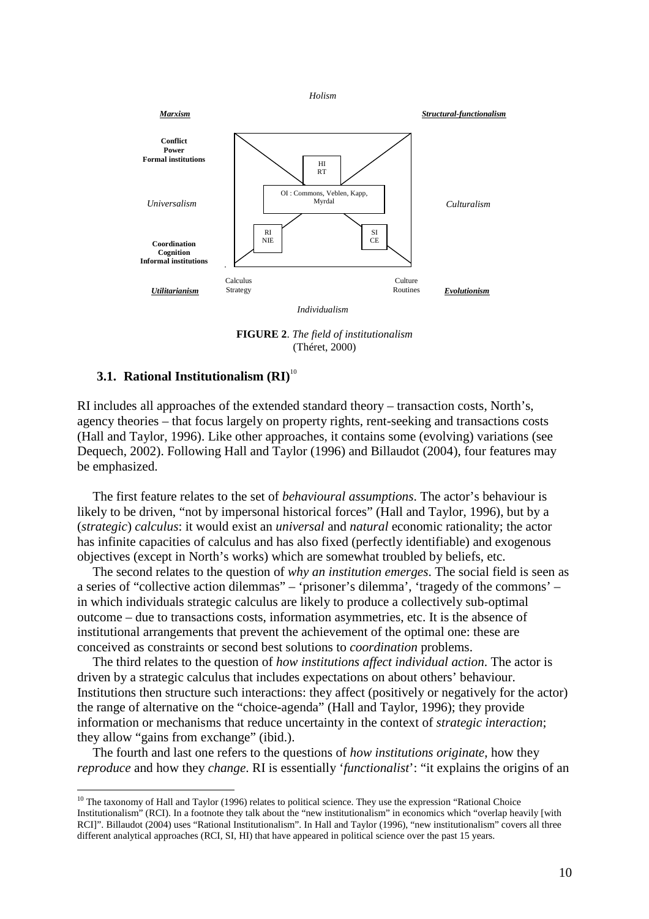

**FIGURE 2**. *The field of institutionalism* (Théret, 2000)

# **3.1. Rational Institutionalism (RI)**<sup>10</sup>

 $\overline{a}$ 

RI includes all approaches of the extended standard theory – transaction costs, North's, agency theories – that focus largely on property rights, rent-seeking and transactions costs (Hall and Taylor, 1996). Like other approaches, it contains some (evolving) variations (see Dequech, 2002). Following Hall and Taylor (1996) and Billaudot (2004), four features may be emphasized.

 The first feature relates to the set of *behavioural assumptions*. The actor's behaviour is likely to be driven, "not by impersonal historical forces" (Hall and Taylor, 1996), but by a (*strategic*) *calculus*: it would exist an *universal* and *natural* economic rationality; the actor has infinite capacities of calculus and has also fixed (perfectly identifiable) and exogenous objectives (except in North's works) which are somewhat troubled by beliefs, etc.

 The second relates to the question of *why an institution emerges*. The social field is seen as a series of "collective action dilemmas" – 'prisoner's dilemma', 'tragedy of the commons' – in which individuals strategic calculus are likely to produce a collectively sub-optimal outcome – due to transactions costs, information asymmetries, etc. It is the absence of institutional arrangements that prevent the achievement of the optimal one: these are conceived as constraints or second best solutions to *coordination* problems.

 The third relates to the question of *how institutions affect individual action*. The actor is driven by a strategic calculus that includes expectations on about others' behaviour. Institutions then structure such interactions: they affect (positively or negatively for the actor) the range of alternative on the "choice-agenda" (Hall and Taylor, 1996); they provide information or mechanisms that reduce uncertainty in the context of *strategic interaction*; they allow "gains from exchange" (ibid.).

 The fourth and last one refers to the questions of *how institutions originate*, how they *reproduce* and how they *change*. RI is essentially '*functionalist*': "it explains the origins of an

 $10$  The taxonomy of Hall and Taylor (1996) relates to political science. They use the expression "Rational Choice Institutionalism" (RCI). In a footnote they talk about the "new institutionalism" in economics which "overlap heavily [with RCI]". Billaudot (2004) uses "Rational Institutionalism". In Hall and Taylor (1996), "new institutionalism" covers all three different analytical approaches (RCI, SI, HI) that have appeared in political science over the past 15 years.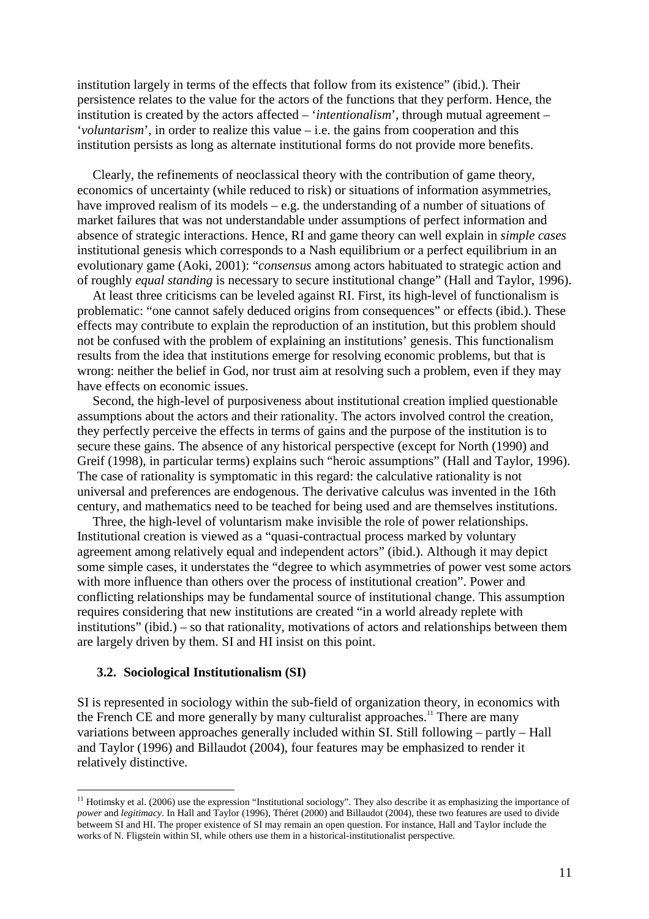institution largely in terms of the effects that follow from its existence" (ibid.). Their persistence relates to the value for the actors of the functions that they perform. Hence, the institution is created by the actors affected – '*intentionalism*', through mutual agreement – '*voluntarism*', in order to realize this value – i.e. the gains from cooperation and this institution persists as long as alternate institutional forms do not provide more benefits.

 Clearly, the refinements of neoclassical theory with the contribution of game theory, economics of uncertainty (while reduced to risk) or situations of information asymmetries, have improved realism of its models – e.g. the understanding of a number of situations of market failures that was not understandable under assumptions of perfect information and absence of strategic interactions. Hence, RI and game theory can well explain in *simple cases* institutional genesis which corresponds to a Nash equilibrium or a perfect equilibrium in an evolutionary game (Aoki, 2001): "*consensus* among actors habituated to strategic action and of roughly *equal standing* is necessary to secure institutional change" (Hall and Taylor, 1996).

 At least three criticisms can be leveled against RI. First, its high-level of functionalism is problematic: "one cannot safely deduced origins from consequences" or effects (ibid.). These effects may contribute to explain the reproduction of an institution, but this problem should not be confused with the problem of explaining an institutions' genesis. This functionalism results from the idea that institutions emerge for resolving economic problems, but that is wrong: neither the belief in God, nor trust aim at resolving such a problem, even if they may have effects on economic issues.

 Second, the high-level of purposiveness about institutional creation implied questionable assumptions about the actors and their rationality. The actors involved control the creation, they perfectly perceive the effects in terms of gains and the purpose of the institution is to secure these gains. The absence of any historical perspective (except for North (1990) and Greif (1998), in particular terms) explains such "heroic assumptions" (Hall and Taylor, 1996). The case of rationality is symptomatic in this regard: the calculative rationality is not universal and preferences are endogenous. The derivative calculus was invented in the 16th century, and mathematics need to be teached for being used and are themselves institutions.

 Three, the high-level of voluntarism make invisible the role of power relationships. Institutional creation is viewed as a "quasi-contractual process marked by voluntary agreement among relatively equal and independent actors" (ibid.). Although it may depict some simple cases, it understates the "degree to which asymmetries of power vest some actors with more influence than others over the process of institutional creation". Power and conflicting relationships may be fundamental source of institutional change. This assumption requires considering that new institutions are created "in a world already replete with institutions" (ibid.) – so that rationality, motivations of actors and relationships between them are largely driven by them. SI and HI insist on this point.

#### **3.2. Sociological Institutionalism (SI)**

 $\overline{a}$ 

SI is represented in sociology within the sub-field of organization theory, in economics with the French CE and more generally by many culturalist approaches.<sup>11</sup> There are many variations between approaches generally included within SI. Still following – partly – Hall and Taylor (1996) and Billaudot (2004), four features may be emphasized to render it relatively distinctive.

 $11$  Hotimsky et al. (2006) use the expression "Institutional sociology". They also describe it as emphasizing the importance of *power* and *legitimacy*. In Hall and Taylor (1996), Théret (2000) and Billaudot (2004), these two features are used to divide betweem SI and HI. The proper existence of SI may remain an open question. For instance, Hall and Taylor include the works of N. Fligstein within SI, while others use them in a historical-institutionalist perspective.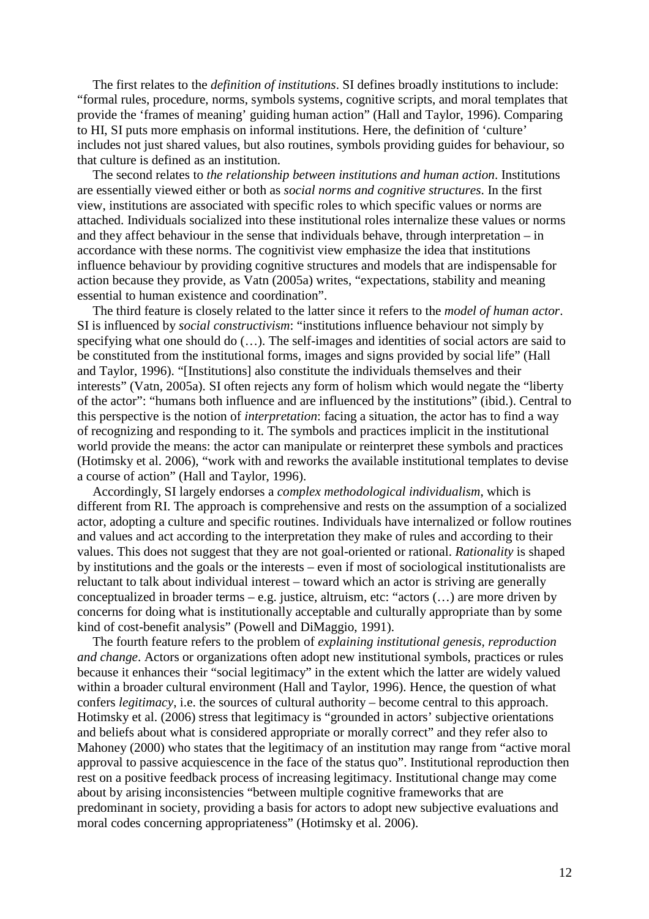The first relates to the *definition of institutions*. SI defines broadly institutions to include: "formal rules, procedure, norms, symbols systems, cognitive scripts, and moral templates that provide the 'frames of meaning' guiding human action" (Hall and Taylor, 1996). Comparing to HI, SI puts more emphasis on informal institutions. Here, the definition of 'culture' includes not just shared values, but also routines, symbols providing guides for behaviour, so that culture is defined as an institution.

 The second relates to *the relationship between institutions and human action*. Institutions are essentially viewed either or both as *social norms and cognitive structures*. In the first view, institutions are associated with specific roles to which specific values or norms are attached. Individuals socialized into these institutional roles internalize these values or norms and they affect behaviour in the sense that individuals behave, through interpretation – in accordance with these norms. The cognitivist view emphasize the idea that institutions influence behaviour by providing cognitive structures and models that are indispensable for action because they provide, as Vatn (2005a) writes, "expectations, stability and meaning essential to human existence and coordination".

 The third feature is closely related to the latter since it refers to the *model of human actor*. SI is influenced by *social constructivism*: "institutions influence behaviour not simply by specifying what one should do (…). The self-images and identities of social actors are said to be constituted from the institutional forms, images and signs provided by social life" (Hall and Taylor, 1996). "[Institutions] also constitute the individuals themselves and their interests" (Vatn, 2005a). SI often rejects any form of holism which would negate the "liberty of the actor": "humans both influence and are influenced by the institutions" (ibid.). Central to this perspective is the notion of *interpretation*: facing a situation, the actor has to find a way of recognizing and responding to it. The symbols and practices implicit in the institutional world provide the means: the actor can manipulate or reinterpret these symbols and practices (Hotimsky et al. 2006), "work with and reworks the available institutional templates to devise a course of action" (Hall and Taylor, 1996).

 Accordingly, SI largely endorses a *complex methodological individualism*, which is different from RI. The approach is comprehensive and rests on the assumption of a socialized actor, adopting a culture and specific routines. Individuals have internalized or follow routines and values and act according to the interpretation they make of rules and according to their values. This does not suggest that they are not goal-oriented or rational. *Rationality* is shaped by institutions and the goals or the interests – even if most of sociological institutionalists are reluctant to talk about individual interest – toward which an actor is striving are generally conceptualized in broader terms – e.g. justice, altruism, etc: "actors (…) are more driven by concerns for doing what is institutionally acceptable and culturally appropriate than by some kind of cost-benefit analysis" (Powell and DiMaggio, 1991).

 The fourth feature refers to the problem of *explaining institutional genesis, reproduction and change*. Actors or organizations often adopt new institutional symbols, practices or rules because it enhances their "social legitimacy" in the extent which the latter are widely valued within a broader cultural environment (Hall and Taylor, 1996). Hence, the question of what confers *legitimacy*, i.e. the sources of cultural authority – become central to this approach. Hotimsky et al. (2006) stress that legitimacy is "grounded in actors' subjective orientations and beliefs about what is considered appropriate or morally correct" and they refer also to Mahoney (2000) who states that the legitimacy of an institution may range from "active moral approval to passive acquiescence in the face of the status quo". Institutional reproduction then rest on a positive feedback process of increasing legitimacy. Institutional change may come about by arising inconsistencies "between multiple cognitive frameworks that are predominant in society, providing a basis for actors to adopt new subjective evaluations and moral codes concerning appropriateness" (Hotimsky et al. 2006).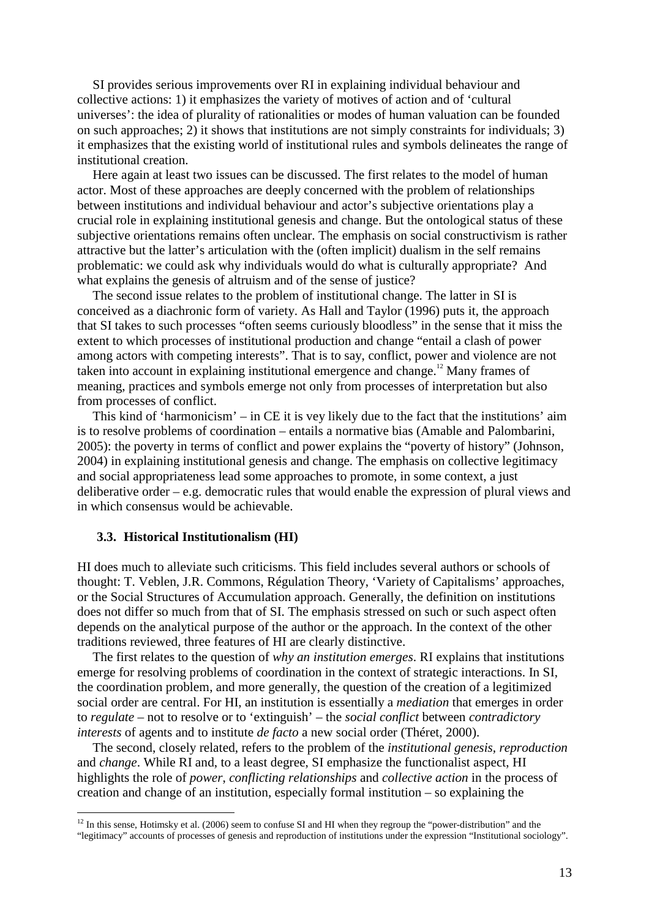SI provides serious improvements over RI in explaining individual behaviour and collective actions: 1) it emphasizes the variety of motives of action and of 'cultural universes': the idea of plurality of rationalities or modes of human valuation can be founded on such approaches; 2) it shows that institutions are not simply constraints for individuals; 3) it emphasizes that the existing world of institutional rules and symbols delineates the range of institutional creation.

 Here again at least two issues can be discussed. The first relates to the model of human actor. Most of these approaches are deeply concerned with the problem of relationships between institutions and individual behaviour and actor's subjective orientations play a crucial role in explaining institutional genesis and change. But the ontological status of these subjective orientations remains often unclear. The emphasis on social constructivism is rather attractive but the latter's articulation with the (often implicit) dualism in the self remains problematic: we could ask why individuals would do what is culturally appropriate? And what explains the genesis of altruism and of the sense of justice?

 The second issue relates to the problem of institutional change. The latter in SI is conceived as a diachronic form of variety. As Hall and Taylor (1996) puts it, the approach that SI takes to such processes "often seems curiously bloodless" in the sense that it miss the extent to which processes of institutional production and change "entail a clash of power among actors with competing interests". That is to say, conflict, power and violence are not taken into account in explaining institutional emergence and change.<sup>12</sup> Many frames of meaning, practices and symbols emerge not only from processes of interpretation but also from processes of conflict.

 This kind of 'harmonicism' – in CE it is vey likely due to the fact that the institutions' aim is to resolve problems of coordination – entails a normative bias (Amable and Palombarini, 2005): the poverty in terms of conflict and power explains the "poverty of history" (Johnson, 2004) in explaining institutional genesis and change. The emphasis on collective legitimacy and social appropriateness lead some approaches to promote, in some context, a just deliberative order – e.g. democratic rules that would enable the expression of plural views and in which consensus would be achievable.

#### **3.3. Historical Institutionalism (HI)**

 $\overline{a}$ 

HI does much to alleviate such criticisms. This field includes several authors or schools of thought: T. Veblen, J.R. Commons, Régulation Theory, 'Variety of Capitalisms' approaches, or the Social Structures of Accumulation approach. Generally, the definition on institutions does not differ so much from that of SI. The emphasis stressed on such or such aspect often depends on the analytical purpose of the author or the approach. In the context of the other traditions reviewed, three features of HI are clearly distinctive.

The first relates to the question of *why an institution emerges*. RI explains that institutions emerge for resolving problems of coordination in the context of strategic interactions. In SI, the coordination problem, and more generally, the question of the creation of a legitimized social order are central. For HI, an institution is essentially a *mediation* that emerges in order to *regulate* – not to resolve or to 'extinguish' – the *social conflict* between *contradictory interests* of agents and to institute *de facto* a new social order (Théret, 2000).

The second, closely related, refers to the problem of the *institutional genesis, reproduction* and *change*. While RI and, to a least degree, SI emphasize the functionalist aspect, HI highlights the role of *power*, *conflicting relationships* and *collective action* in the process of creation and change of an institution, especially formal institution – so explaining the

 $12$  In this sense, Hotimsky et al. (2006) seem to confuse SI and HI when they regroup the "power-distribution" and the "legitimacy" accounts of processes of genesis and reproduction of institutions under the expression "Institutional sociology".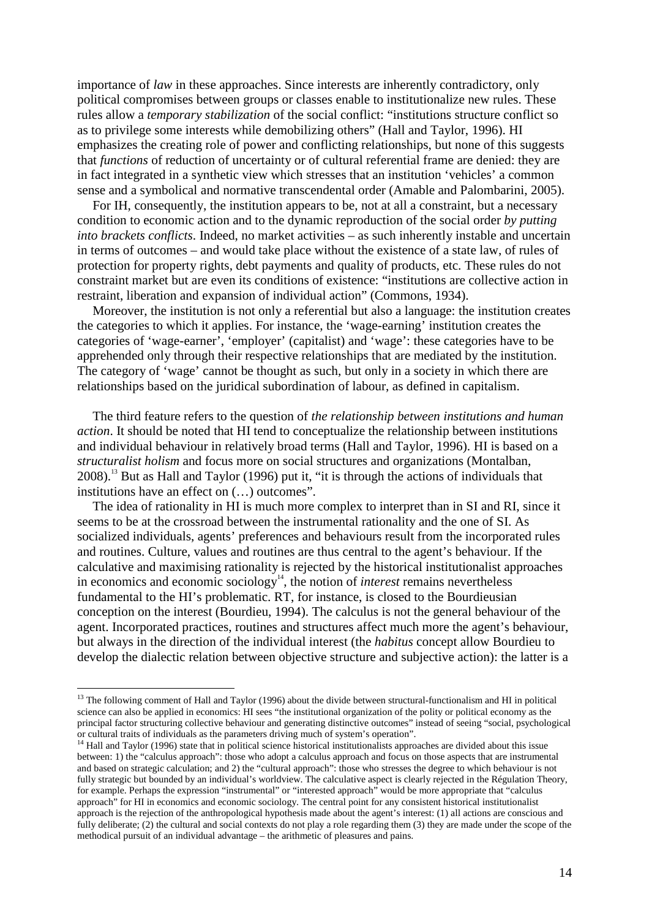importance of *law* in these approaches. Since interests are inherently contradictory, only political compromises between groups or classes enable to institutionalize new rules. These rules allow a *temporary stabilization* of the social conflict: "institutions structure conflict so as to privilege some interests while demobilizing others" (Hall and Taylor, 1996). HI emphasizes the creating role of power and conflicting relationships, but none of this suggests that *functions* of reduction of uncertainty or of cultural referential frame are denied: they are in fact integrated in a synthetic view which stresses that an institution 'vehicles' a common sense and a symbolical and normative transcendental order (Amable and Palombarini, 2005).

For IH, consequently, the institution appears to be, not at all a constraint, but a necessary condition to economic action and to the dynamic reproduction of the social order *by putting into brackets conflicts*. Indeed, no market activities – as such inherently instable and uncertain in terms of outcomes – and would take place without the existence of a state law, of rules of protection for property rights, debt payments and quality of products, etc. These rules do not constraint market but are even its conditions of existence: "institutions are collective action in restraint, liberation and expansion of individual action" (Commons, 1934).

Moreover, the institution is not only a referential but also a language: the institution creates the categories to which it applies. For instance, the 'wage-earning' institution creates the categories of 'wage-earner', 'employer' (capitalist) and 'wage': these categories have to be apprehended only through their respective relationships that are mediated by the institution. The category of 'wage' cannot be thought as such, but only in a society in which there are relationships based on the juridical subordination of labour, as defined in capitalism.

The third feature refers to the question of *the relationship between institutions and human action*. It should be noted that HI tend to conceptualize the relationship between institutions and individual behaviour in relatively broad terms (Hall and Taylor, 1996). HI is based on a *structuralist holism* and focus more on social structures and organizations (Montalban, 2008).<sup>13</sup> But as Hall and Taylor (1996) put it, "it is through the actions of individuals that institutions have an effect on (…) outcomes".

The idea of rationality in HI is much more complex to interpret than in SI and RI, since it seems to be at the crossroad between the instrumental rationality and the one of SI. As socialized individuals, agents' preferences and behaviours result from the incorporated rules and routines. Culture, values and routines are thus central to the agent's behaviour. If the calculative and maximising rationality is rejected by the historical institutionalist approaches in economics and economic sociology<sup>14</sup>, the notion of *interest* remains nevertheless fundamental to the HI's problematic. RT, for instance, is closed to the Bourdieusian conception on the interest (Bourdieu, 1994). The calculus is not the general behaviour of the agent. Incorporated practices, routines and structures affect much more the agent's behaviour, but always in the direction of the individual interest (the *habitus* concept allow Bourdieu to develop the dialectic relation between objective structure and subjective action): the latter is a

 $13$  The following comment of Hall and Taylor (1996) about the divide between structural-functionalism and HI in political science can also be applied in economics: HI sees "the institutional organization of the polity or political economy as the principal factor structuring collective behaviour and generating distinctive outcomes" instead of seeing "social, psychological or cultural traits of individuals as the parameters driving much of system's operation".

<sup>&</sup>lt;sup>14</sup> Hall and Taylor (1996) state that in political science historical institutionalists approaches are divided about this issue between: 1) the "calculus approach": those who adopt a calculus approach and focus on those aspects that are instrumental and based on strategic calculation; and 2) the "cultural approach": those who stresses the degree to which behaviour is not fully strategic but bounded by an individual's worldview. The calculative aspect is clearly rejected in the Régulation Theory, for example. Perhaps the expression "instrumental" or "interested approach" would be more appropriate that "calculus approach" for HI in economics and economic sociology. The central point for any consistent historical institutionalist approach is the rejection of the anthropological hypothesis made about the agent's interest: (1) all actions are conscious and fully deliberate; (2) the cultural and social contexts do not play a role regarding them (3) they are made under the scope of the methodical pursuit of an individual advantage – the arithmetic of pleasures and pains.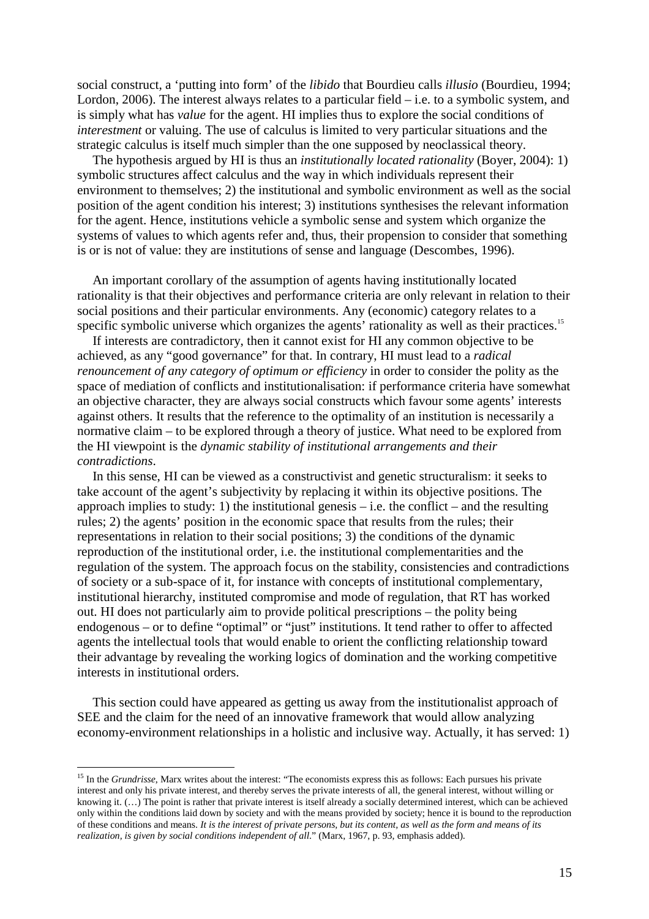social construct, a 'putting into form' of the *libido* that Bourdieu calls *illusio* (Bourdieu, 1994; Lordon, 2006). The interest always relates to a particular field – i.e. to a symbolic system, and is simply what has *value* for the agent. HI implies thus to explore the social conditions of *interestment* or valuing. The use of calculus is limited to very particular situations and the strategic calculus is itself much simpler than the one supposed by neoclassical theory.

The hypothesis argued by HI is thus an *institutionally located rationality* (Boyer, 2004): 1) symbolic structures affect calculus and the way in which individuals represent their environment to themselves; 2) the institutional and symbolic environment as well as the social position of the agent condition his interest; 3) institutions synthesises the relevant information for the agent. Hence, institutions vehicle a symbolic sense and system which organize the systems of values to which agents refer and, thus, their propension to consider that something is or is not of value: they are institutions of sense and language (Descombes, 1996).

An important corollary of the assumption of agents having institutionally located rationality is that their objectives and performance criteria are only relevant in relation to their social positions and their particular environments. Any (economic) category relates to a specific symbolic universe which organizes the agents' rationality as well as their practices.<sup>15</sup>

If interests are contradictory, then it cannot exist for HI any common objective to be achieved, as any "good governance" for that. In contrary, HI must lead to a *radical renouncement of any category of optimum or efficiency* in order to consider the polity as the space of mediation of conflicts and institutionalisation: if performance criteria have somewhat an objective character, they are always social constructs which favour some agents' interests against others. It results that the reference to the optimality of an institution is necessarily a normative claim – to be explored through a theory of justice. What need to be explored from the HI viewpoint is the *dynamic stability of institutional arrangements and their contradictions*.

In this sense, HI can be viewed as a constructivist and genetic structuralism: it seeks to take account of the agent's subjectivity by replacing it within its objective positions. The approach implies to study: 1) the institutional genesis – i.e. the conflict – and the resulting rules; 2) the agents' position in the economic space that results from the rules; their representations in relation to their social positions; 3) the conditions of the dynamic reproduction of the institutional order, i.e. the institutional complementarities and the regulation of the system. The approach focus on the stability, consistencies and contradictions of society or a sub-space of it, for instance with concepts of institutional complementary, institutional hierarchy, instituted compromise and mode of regulation, that RT has worked out. HI does not particularly aim to provide political prescriptions – the polity being endogenous – or to define "optimal" or "just" institutions. It tend rather to offer to affected agents the intellectual tools that would enable to orient the conflicting relationship toward their advantage by revealing the working logics of domination and the working competitive interests in institutional orders.

 This section could have appeared as getting us away from the institutionalist approach of SEE and the claim for the need of an innovative framework that would allow analyzing economy-environment relationships in a holistic and inclusive way. Actually, it has served: 1)

<sup>&</sup>lt;sup>15</sup> In the *Grundrisse*, Marx writes about the interest: "The economists express this as follows: Each pursues his private interest and only his private interest, and thereby serves the private interests of all, the general interest, without willing or knowing it. (…) The point is rather that private interest is itself already a socially determined interest, which can be achieved only within the conditions laid down by society and with the means provided by society; hence it is bound to the reproduction of these conditions and means. *It is the interest of private persons, but its content, as well as the form and means of its realization, is given by social conditions independent of all*." (Marx, 1967, p. 93, emphasis added).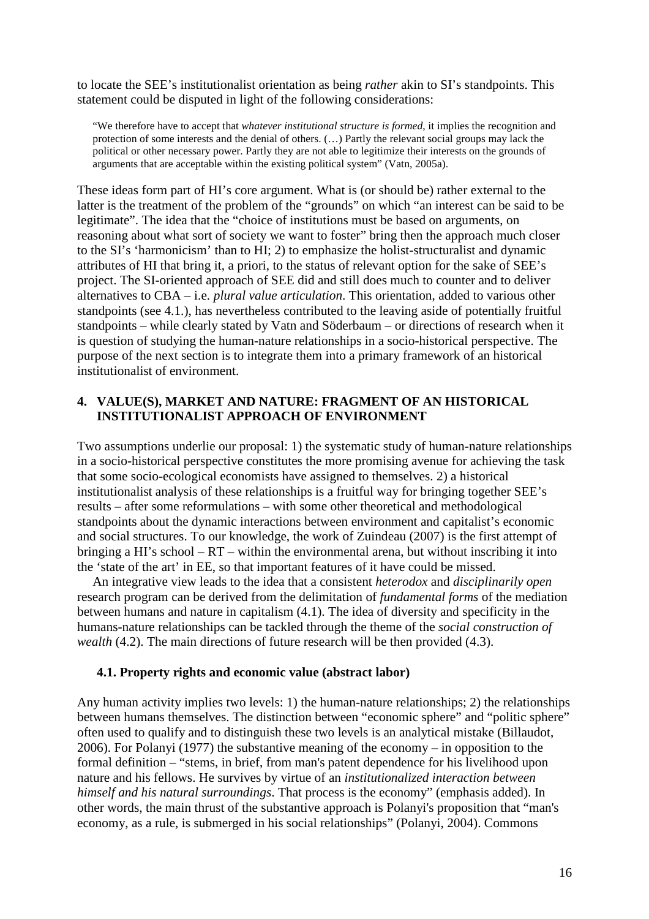to locate the SEE's institutionalist orientation as being *rather* akin to SI's standpoints. This statement could be disputed in light of the following considerations:

"We therefore have to accept that *whatever institutional structure is formed*, it implies the recognition and protection of some interests and the denial of others. (…) Partly the relevant social groups may lack the political or other necessary power. Partly they are not able to legitimize their interests on the grounds of arguments that are acceptable within the existing political system" (Vatn, 2005a).

These ideas form part of HI's core argument. What is (or should be) rather external to the latter is the treatment of the problem of the "grounds" on which "an interest can be said to be legitimate". The idea that the "choice of institutions must be based on arguments, on reasoning about what sort of society we want to foster" bring then the approach much closer to the SI's 'harmonicism' than to HI; 2) to emphasize the holist-structuralist and dynamic attributes of HI that bring it, a priori, to the status of relevant option for the sake of SEE's project. The SI-oriented approach of SEE did and still does much to counter and to deliver alternatives to CBA – i.e. *plural value articulation*. This orientation, added to various other standpoints (see 4.1.), has nevertheless contributed to the leaving aside of potentially fruitful standpoints – while clearly stated by Vatn and Söderbaum – or directions of research when it is question of studying the human-nature relationships in a socio-historical perspective. The purpose of the next section is to integrate them into a primary framework of an historical institutionalist of environment.

## **4. VALUE(S), MARKET AND NATURE: FRAGMENT OF AN HISTORICAL INSTITUTIONALIST APPROACH OF ENVIRONMENT**

Two assumptions underlie our proposal: 1) the systematic study of human-nature relationships in a socio-historical perspective constitutes the more promising avenue for achieving the task that some socio-ecological economists have assigned to themselves. 2) a historical institutionalist analysis of these relationships is a fruitful way for bringing together SEE's results – after some reformulations – with some other theoretical and methodological standpoints about the dynamic interactions between environment and capitalist's economic and social structures. To our knowledge, the work of Zuindeau (2007) is the first attempt of bringing a HI's school – RT – within the environmental arena, but without inscribing it into the 'state of the art' in EE, so that important features of it have could be missed.

 An integrative view leads to the idea that a consistent *heterodox* and *disciplinarily open* research program can be derived from the delimitation of *fundamental forms* of the mediation between humans and nature in capitalism (4.1). The idea of diversity and specificity in the humans-nature relationships can be tackled through the theme of the *social construction of wealth* (4.2). The main directions of future research will be then provided (4.3).

#### **4.1. Property rights and economic value (abstract labor)**

Any human activity implies two levels: 1) the human-nature relationships; 2) the relationships between humans themselves. The distinction between "economic sphere" and "politic sphere" often used to qualify and to distinguish these two levels is an analytical mistake (Billaudot, 2006). For Polanyi (1977) the substantive meaning of the economy – in opposition to the formal definition – "stems, in brief, from man's patent dependence for his livelihood upon nature and his fellows. He survives by virtue of an *institutionalized interaction between himself and his natural surroundings*. That process is the economy" (emphasis added). In other words, the main thrust of the substantive approach is Polanyi's proposition that "man's economy, as a rule, is submerged in his social relationships" (Polanyi, 2004). Commons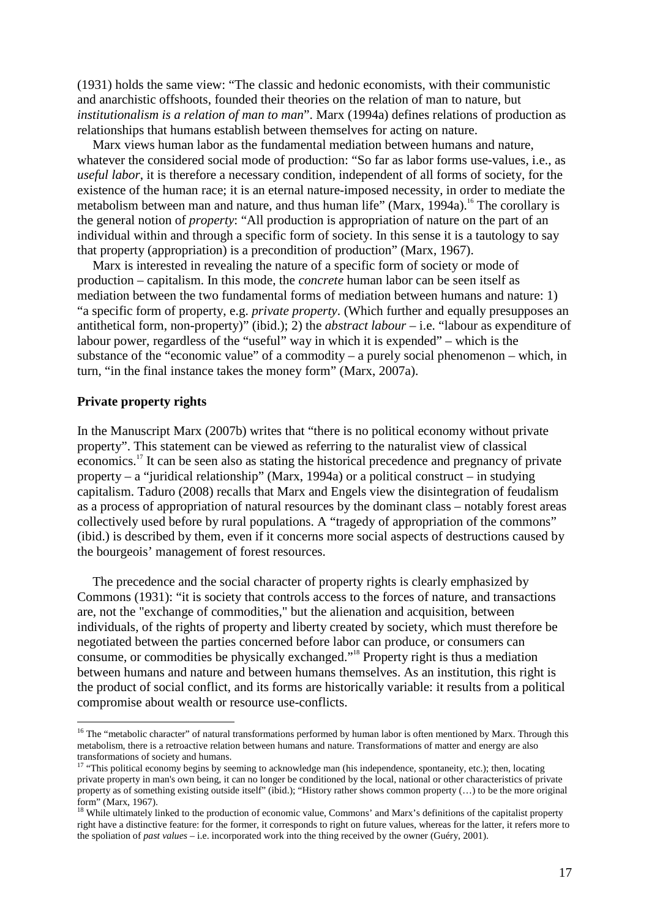(1931) holds the same view: "The classic and hedonic economists, with their communistic and anarchistic offshoots, founded their theories on the relation of man to nature, but *institutionalism is a relation of man to man*". Marx (1994a) defines relations of production as relationships that humans establish between themselves for acting on nature.

 Marx views human labor as the fundamental mediation between humans and nature, whatever the considered social mode of production: "So far as labor forms use-values, i.e., as *useful labor*, it is therefore a necessary condition, independent of all forms of society, for the existence of the human race; it is an eternal nature-imposed necessity, in order to mediate the metabolism between man and nature, and thus human life" (Marx,  $1994a$ ).<sup>16</sup> The corollary is the general notion of *property*: "All production is appropriation of nature on the part of an individual within and through a specific form of society. In this sense it is a tautology to say that property (appropriation) is a precondition of production" (Marx, 1967).

 Marx is interested in revealing the nature of a specific form of society or mode of production – capitalism. In this mode, the *concrete* human labor can be seen itself as mediation between the two fundamental forms of mediation between humans and nature: 1) "a specific form of property, e.g. *private property*. (Which further and equally presupposes an antithetical form, non-property)" (ibid.); 2) the *abstract labour* – i.e. "labour as expenditure of labour power, regardless of the "useful" way in which it is expended" – which is the substance of the "economic value" of a commodity – a purely social phenomenon – which, in turn, "in the final instance takes the money form" (Marx, 2007a).

#### **Private property rights**

 $\overline{a}$ 

In the Manuscript Marx (2007b) writes that "there is no political economy without private property". This statement can be viewed as referring to the naturalist view of classical economics.<sup>17</sup> It can be seen also as stating the historical precedence and pregnancy of private property – a "juridical relationship" (Marx, 1994a) or a political construct – in studying capitalism. Taduro (2008) recalls that Marx and Engels view the disintegration of feudalism as a process of appropriation of natural resources by the dominant class – notably forest areas collectively used before by rural populations. A "tragedy of appropriation of the commons" (ibid.) is described by them, even if it concerns more social aspects of destructions caused by the bourgeois' management of forest resources.

The precedence and the social character of property rights is clearly emphasized by Commons (1931): "it is society that controls access to the forces of nature, and transactions are, not the "exchange of commodities," but the alienation and acquisition, between individuals, of the rights of property and liberty created by society, which must therefore be negotiated between the parties concerned before labor can produce, or consumers can consume, or commodities be physically exchanged."<sup>18</sup> Property right is thus a mediation between humans and nature and between humans themselves. As an institution, this right is the product of social conflict, and its forms are historically variable: it results from a political compromise about wealth or resource use-conflicts.

<sup>&</sup>lt;sup>16</sup> The "metabolic character" of natural transformations performed by human labor is often mentioned by Marx. Through this metabolism, there is a retroactive relation between humans and nature. Transformations of matter and energy are also transformations of society and humans.

 $17$  "This political economy begins by seeming to acknowledge man (his independence, spontaneity, etc.); then, locating private property in man's own being, it can no longer be conditioned by the local, national or other characteristics of private property as of something existing outside itself" (ibid.); "History rather shows common property (...) to be the more original form" (Marx, 1967).

<sup>&</sup>lt;sup>18</sup> While ultimately linked to the production of economic value, Commons' and Marx's definitions of the capitalist property right have a distinctive feature: for the former, it corresponds to right on future values, whereas for the latter, it refers more to the spoliation of *past values* – i.e. incorporated work into the thing received by the owner (Guéry, 2001).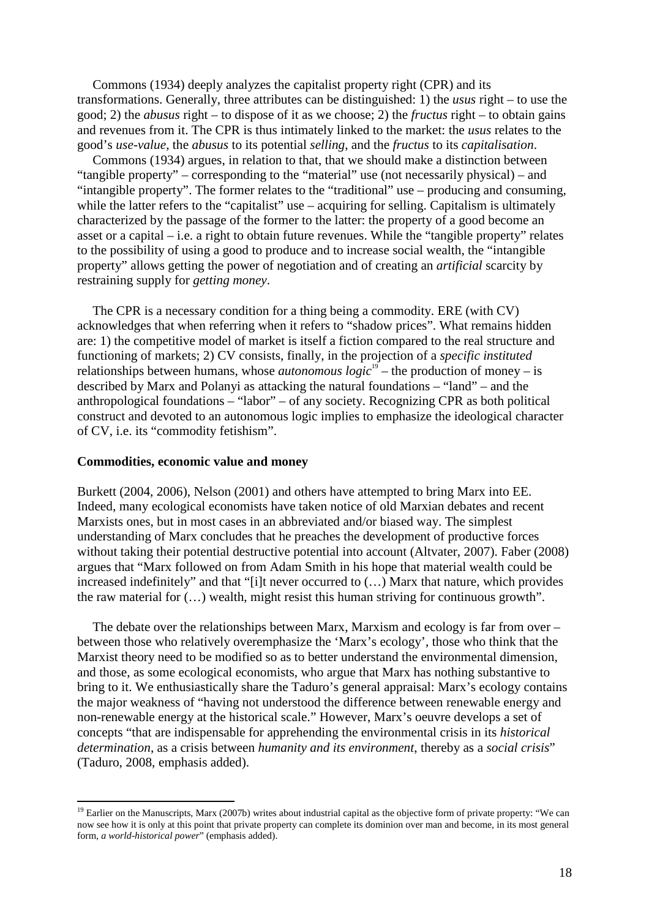Commons (1934) deeply analyzes the capitalist property right (CPR) and its transformations. Generally, three attributes can be distinguished: 1) the *usus* right – to use the good; 2) the *abusus* right – to dispose of it as we choose; 2) the *fructus* right – to obtain gains and revenues from it. The CPR is thus intimately linked to the market: the *usus* relates to the good's *use-value*, the *abusus* to its potential *selling*, and the *fructus* to its *capitalisation*.

Commons (1934) argues, in relation to that, that we should make a distinction between "tangible property" – corresponding to the "material" use (not necessarily physical) – and "intangible property". The former relates to the "traditional" use – producing and consuming, while the latter refers to the "capitalist" use – acquiring for selling. Capitalism is ultimately characterized by the passage of the former to the latter: the property of a good become an asset or a capital – i.e. a right to obtain future revenues. While the "tangible property" relates to the possibility of using a good to produce and to increase social wealth, the "intangible property" allows getting the power of negotiation and of creating an *artificial* scarcity by restraining supply for *getting money*.

The CPR is a necessary condition for a thing being a commodity. ERE (with CV) acknowledges that when referring when it refers to "shadow prices". What remains hidden are: 1) the competitive model of market is itself a fiction compared to the real structure and functioning of markets; 2) CV consists, finally, in the projection of a *specific instituted* relationships between humans, whose *autonomous*  $logic^{19}$  – the production of money – is described by Marx and Polanyi as attacking the natural foundations – "land" – and the anthropological foundations – "labor" – of any society. Recognizing CPR as both political construct and devoted to an autonomous logic implies to emphasize the ideological character of CV, i.e. its "commodity fetishism".

#### **Commodities, economic value and money**

 $\overline{a}$ 

Burkett (2004, 2006), Nelson (2001) and others have attempted to bring Marx into EE. Indeed, many ecological economists have taken notice of old Marxian debates and recent Marxists ones, but in most cases in an abbreviated and/or biased way. The simplest understanding of Marx concludes that he preaches the development of productive forces without taking their potential destructive potential into account (Altvater, 2007). Faber (2008) argues that "Marx followed on from Adam Smith in his hope that material wealth could be increased indefinitely" and that "[i]t never occurred to (…) Marx that nature, which provides the raw material for (…) wealth, might resist this human striving for continuous growth".

The debate over the relationships between Marx, Marxism and ecology is far from over – between those who relatively overemphasize the 'Marx's ecology', those who think that the Marxist theory need to be modified so as to better understand the environmental dimension, and those, as some ecological economists, who argue that Marx has nothing substantive to bring to it. We enthusiastically share the Taduro's general appraisal: Marx's ecology contains the major weakness of "having not understood the difference between renewable energy and non-renewable energy at the historical scale." However, Marx's oeuvre develops a set of concepts "that are indispensable for apprehending the environmental crisis in its *historical determination*, as a crisis between *humanity and its environment*, thereby as a *social crisis*" (Taduro, 2008, emphasis added).

<sup>&</sup>lt;sup>19</sup> Earlier on the Manuscripts, Marx (2007b) writes about industrial capital as the objective form of private property: "We can now see how it is only at this point that private property can complete its dominion over man and become, in its most general form, *a world-historical power*" (emphasis added).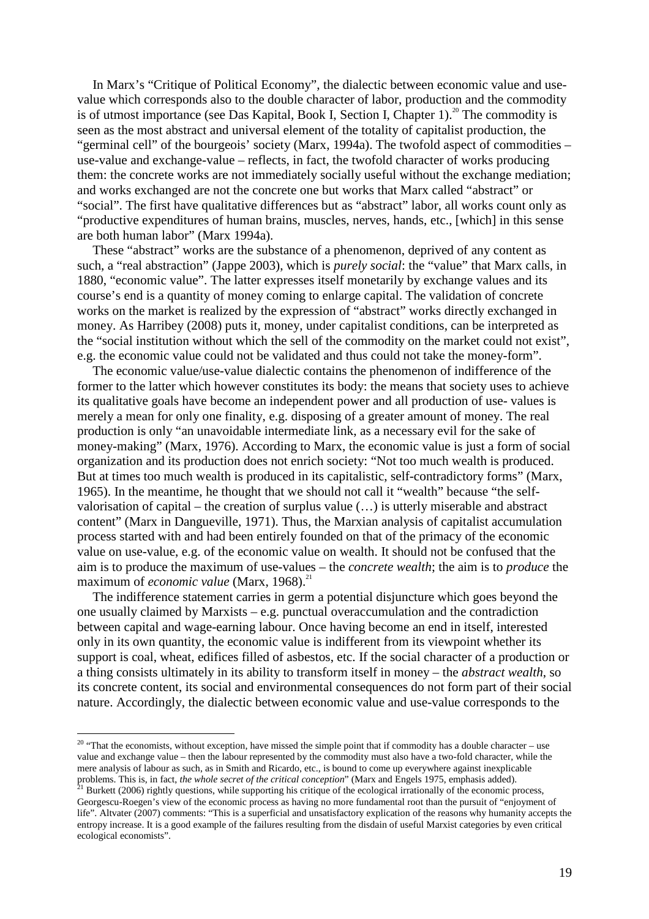In Marx's "Critique of Political Economy", the dialectic between economic value and usevalue which corresponds also to the double character of labor, production and the commodity is of utmost importance (see Das Kapital, Book I, Section I, Chapter 1).<sup>20</sup> The commodity is seen as the most abstract and universal element of the totality of capitalist production, the "germinal cell" of the bourgeois' society (Marx, 1994a). The twofold aspect of commodities – use-value and exchange-value – reflects, in fact, the twofold character of works producing them: the concrete works are not immediately socially useful without the exchange mediation; and works exchanged are not the concrete one but works that Marx called "abstract" or "social". The first have qualitative differences but as "abstract" labor, all works count only as "productive expenditures of human brains, muscles, nerves, hands, etc., [which] in this sense are both human labor" (Marx 1994a).

These "abstract" works are the substance of a phenomenon, deprived of any content as such, a "real abstraction" (Jappe 2003), which is *purely social*: the "value" that Marx calls, in 1880, "economic value". The latter expresses itself monetarily by exchange values and its course's end is a quantity of money coming to enlarge capital. The validation of concrete works on the market is realized by the expression of "abstract" works directly exchanged in money. As Harribey (2008) puts it, money, under capitalist conditions, can be interpreted as the "social institution without which the sell of the commodity on the market could not exist", e.g. the economic value could not be validated and thus could not take the money-form".

 The economic value/use-value dialectic contains the phenomenon of indifference of the former to the latter which however constitutes its body: the means that society uses to achieve its qualitative goals have become an independent power and all production of use- values is merely a mean for only one finality, e.g. disposing of a greater amount of money. The real production is only "an unavoidable intermediate link, as a necessary evil for the sake of money-making" (Marx, 1976). According to Marx, the economic value is just a form of social organization and its production does not enrich society: "Not too much wealth is produced. But at times too much wealth is produced in its capitalistic, self-contradictory forms" (Marx, 1965). In the meantime, he thought that we should not call it "wealth" because "the selfvalorisation of capital – the creation of surplus value (…) is utterly miserable and abstract content" (Marx in Dangueville, 1971). Thus, the Marxian analysis of capitalist accumulation process started with and had been entirely founded on that of the primacy of the economic value on use-value, e.g. of the economic value on wealth. It should not be confused that the aim is to produce the maximum of use-values – the *concrete wealth*; the aim is to *produce* the maximum of *economic value* (Marx, 1968).<sup>21</sup>

The indifference statement carries in germ a potential disjuncture which goes beyond the one usually claimed by Marxists – e.g. punctual overaccumulation and the contradiction between capital and wage-earning labour. Once having become an end in itself, interested only in its own quantity, the economic value is indifferent from its viewpoint whether its support is coal, wheat, edifices filled of asbestos, etc. If the social character of a production or a thing consists ultimately in its ability to transform itself in money – the *abstract wealth*, so its concrete content, its social and environmental consequences do not form part of their social nature. Accordingly, the dialectic between economic value and use-value corresponds to the

 $20$  "That the economists, without exception, have missed the simple point that if commodity has a double character – use value and exchange value – then the labour represented by the commodity must also have a two-fold character, while the mere analysis of labour as such, as in Smith and Ricardo, etc., is bound to come up everywhere against inexplicable problems. This is, in fact, *the whole secret of the critical conception*" (Marx and Engels 1975, emphasis added).

<sup>&</sup>lt;sup>21</sup> Burkett (2006) rightly questions, while supporting his critique of the ecological irrationally of the economic process, Georgescu-Roegen's view of the economic process as having no more fundamental root than the pursuit of "enjoyment of life". Altvater (2007) comments: "This is a superficial and unsatisfactory explication of the reasons why humanity accepts the entropy increase. It is a good example of the failures resulting from the disdain of useful Marxist categories by even critical ecological economists".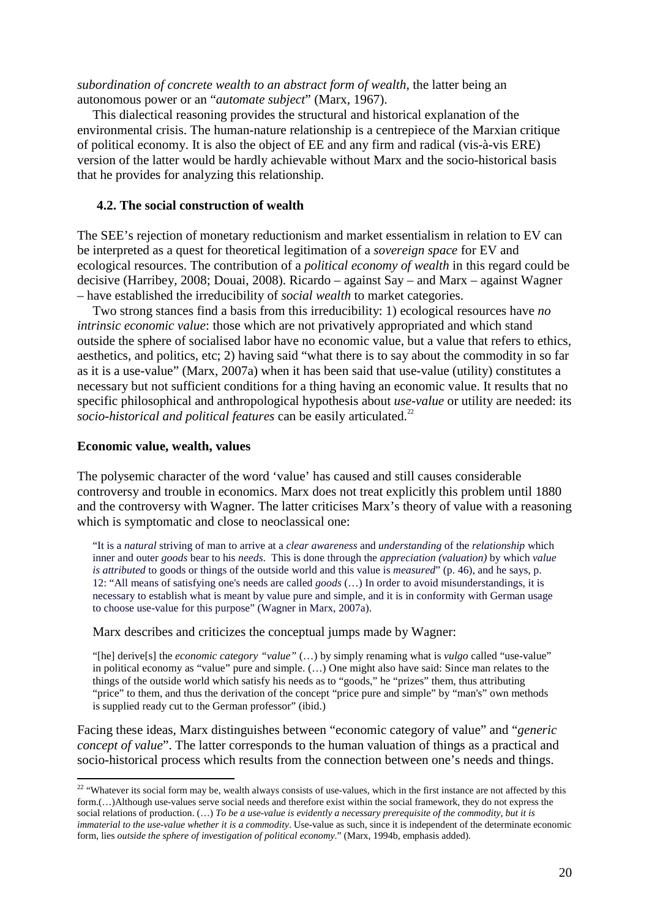*subordination of concrete wealth to an abstract form of wealth*, the latter being an autonomous power or an "*automate subject*" (Marx, 1967).

This dialectical reasoning provides the structural and historical explanation of the environmental crisis. The human-nature relationship is a centrepiece of the Marxian critique of political economy. It is also the object of EE and any firm and radical (vis-à-vis ERE) version of the latter would be hardly achievable without Marx and the socio-historical basis that he provides for analyzing this relationship.

#### **4.2. The social construction of wealth**

The SEE's rejection of monetary reductionism and market essentialism in relation to EV can be interpreted as a quest for theoretical legitimation of a *sovereign space* for EV and ecological resources. The contribution of a *political economy of wealth* in this regard could be decisive (Harribey, 2008; Douai, 2008). Ricardo – against Say – and Marx – against Wagner – have established the irreducibility of *social wealth* to market categories.

Two strong stances find a basis from this irreducibility: 1) ecological resources have *no intrinsic economic value*: those which are not privatively appropriated and which stand outside the sphere of socialised labor have no economic value, but a value that refers to ethics, aesthetics, and politics, etc; 2) having said "what there is to say about the commodity in so far as it is a use-value" (Marx, 2007a) when it has been said that use-value (utility) constitutes a necessary but not sufficient conditions for a thing having an economic value. It results that no specific philosophical and anthropological hypothesis about *use-value* or utility are needed: its *socio-historical and political features* can be easily articulated.<sup>22</sup>

#### **Economic value, wealth, values**

 $\overline{a}$ 

The polysemic character of the word 'value' has caused and still causes considerable controversy and trouble in economics. Marx does not treat explicitly this problem until 1880 and the controversy with Wagner. The latter criticises Marx's theory of value with a reasoning which is symptomatic and close to neoclassical one:

"It is a *natural* striving of man to arrive at a *clear awareness* and *understanding* of the *relationship* which inner and outer *goods* bear to his *needs*. This is done through the *appreciation (valuation)* by which *value is attributed* to goods or things of the outside world and this value is *measured*" (p. 46), and he says, p. 12: "All means of satisfying one's needs are called *goods* (…) In order to avoid misunderstandings, it is necessary to establish what is meant by value pure and simple, and it is in conformity with German usage to choose use-value for this purpose" (Wagner in Marx, 2007a).

Marx describes and criticizes the conceptual jumps made by Wagner:

"[he] derive[s] the *economic category "value"* (…) by simply renaming what is *vulgo* called "use-value" in political economy as "value" pure and simple. (…) One might also have said: Since man relates to the things of the outside world which satisfy his needs as to "goods," he "prizes" them, thus attributing "price" to them, and thus the derivation of the concept "price pure and simple" by "man's" own methods is supplied ready cut to the German professor" (ibid.)

Facing these ideas, Marx distinguishes between "economic category of value" and "*generic concept of value*". The latter corresponds to the human valuation of things as a practical and socio-historical process which results from the connection between one's needs and things.

 $22$  "Whatever its social form may be, wealth always consists of use-values, which in the first instance are not affected by this form.(…)Although use-values serve social needs and therefore exist within the social framework, they do not express the social relations of production. (...) *To be a use-value is evidently a necessary prerequisite of the commodity, but it is immaterial to the use-value whether it is a commodity*. Use-value as such, since it is independent of the determinate economic form, lies *outside the sphere of investigation of political economy*." (Marx, 1994b, emphasis added).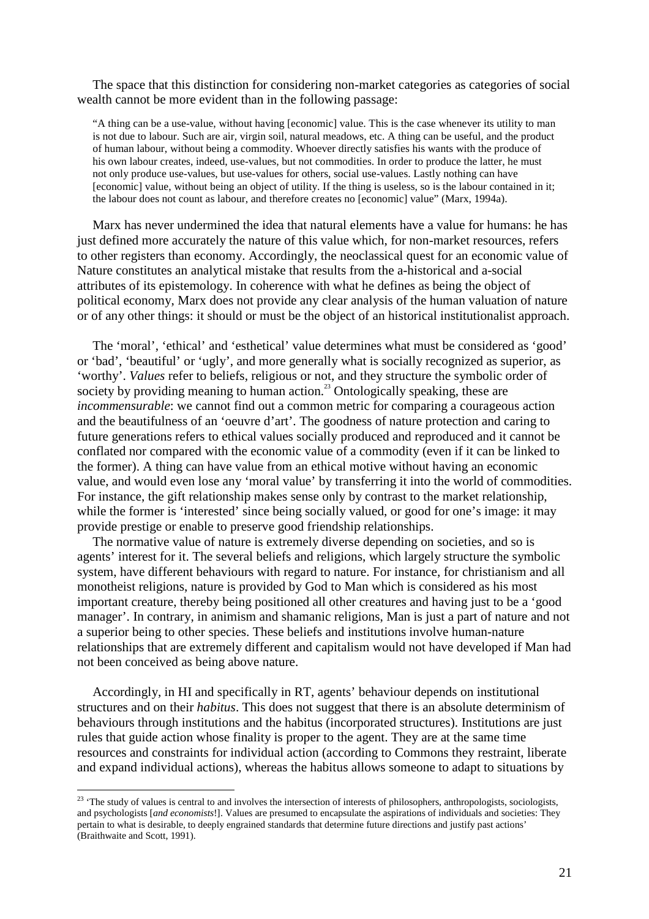The space that this distinction for considering non-market categories as categories of social wealth cannot be more evident than in the following passage:

"A thing can be a use-value, without having [economic] value. This is the case whenever its utility to man is not due to labour. Such are air, virgin soil, natural meadows, etc. A thing can be useful, and the product of human labour, without being a commodity. Whoever directly satisfies his wants with the produce of his own labour creates, indeed, use-values, but not commodities. In order to produce the latter, he must not only produce use-values, but use-values for others, social use-values. Lastly nothing can have [economic] value, without being an object of utility. If the thing is useless, so is the labour contained in it; the labour does not count as labour, and therefore creates no [economic] value" (Marx, 1994a).

Marx has never undermined the idea that natural elements have a value for humans: he has just defined more accurately the nature of this value which, for non-market resources, refers to other registers than economy. Accordingly, the neoclassical quest for an economic value of Nature constitutes an analytical mistake that results from the a-historical and a-social attributes of its epistemology. In coherence with what he defines as being the object of political economy, Marx does not provide any clear analysis of the human valuation of nature or of any other things: it should or must be the object of an historical institutionalist approach.

The 'moral', 'ethical' and 'esthetical' value determines what must be considered as 'good' or 'bad', 'beautiful' or 'ugly', and more generally what is socially recognized as superior, as 'worthy'. *Values* refer to beliefs, religious or not, and they structure the symbolic order of society by providing meaning to human action.<sup>23</sup> Ontologically speaking, these are *incommensurable*: we cannot find out a common metric for comparing a courageous action and the beautifulness of an 'oeuvre d'art'. The goodness of nature protection and caring to future generations refers to ethical values socially produced and reproduced and it cannot be conflated nor compared with the economic value of a commodity (even if it can be linked to the former). A thing can have value from an ethical motive without having an economic value, and would even lose any 'moral value' by transferring it into the world of commodities. For instance, the gift relationship makes sense only by contrast to the market relationship, while the former is 'interested' since being socially valued, or good for one's image: it may provide prestige or enable to preserve good friendship relationships.

The normative value of nature is extremely diverse depending on societies, and so is agents' interest for it. The several beliefs and religions, which largely structure the symbolic system, have different behaviours with regard to nature. For instance, for christianism and all monotheist religions, nature is provided by God to Man which is considered as his most important creature, thereby being positioned all other creatures and having just to be a 'good manager'. In contrary, in animism and shamanic religions, Man is just a part of nature and not a superior being to other species. These beliefs and institutions involve human-nature relationships that are extremely different and capitalism would not have developed if Man had not been conceived as being above nature.

Accordingly, in HI and specifically in RT, agents' behaviour depends on institutional structures and on their *habitus*. This does not suggest that there is an absolute determinism of behaviours through institutions and the habitus (incorporated structures). Institutions are just rules that guide action whose finality is proper to the agent. They are at the same time resources and constraints for individual action (according to Commons they restraint, liberate and expand individual actions), whereas the habitus allows someone to adapt to situations by

<sup>&</sup>lt;sup>23</sup> 'The study of values is central to and involves the intersection of interests of philosophers, anthropologists, sociologists, and psychologists [*and economists*!]. Values are presumed to encapsulate the aspirations of individuals and societies: They pertain to what is desirable, to deeply engrained standards that determine future directions and justify past actions' (Braithwaite and Scott, 1991).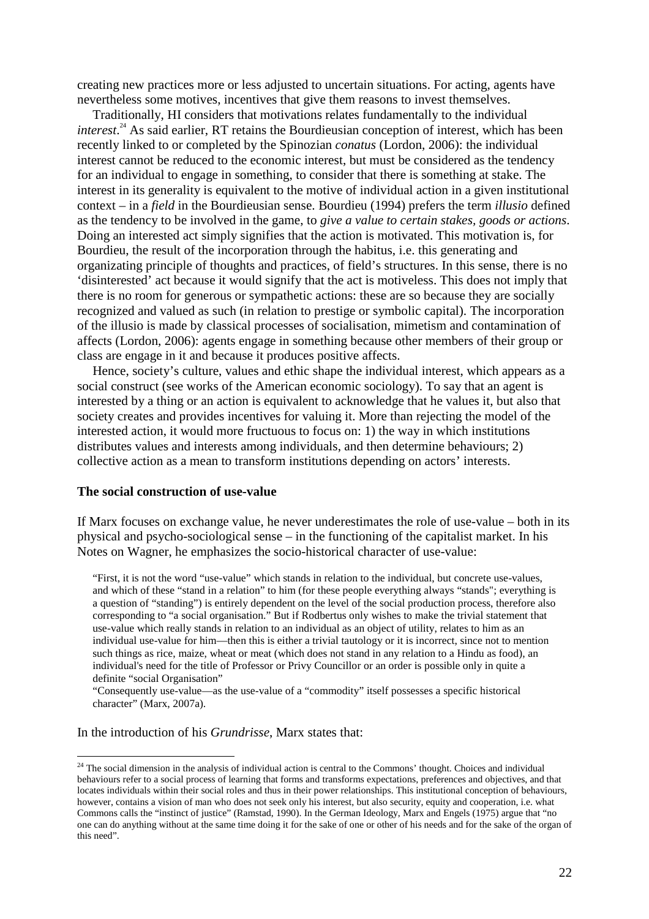creating new practices more or less adjusted to uncertain situations. For acting, agents have nevertheless some motives, incentives that give them reasons to invest themselves.

Traditionally, HI considers that motivations relates fundamentally to the individual *interest*. <sup>24</sup> As said earlier, RT retains the Bourdieusian conception of interest, which has been recently linked to or completed by the Spinozian *conatus* (Lordon, 2006): the individual interest cannot be reduced to the economic interest, but must be considered as the tendency for an individual to engage in something, to consider that there is something at stake. The interest in its generality is equivalent to the motive of individual action in a given institutional context – in a *field* in the Bourdieusian sense. Bourdieu (1994) prefers the term *illusio* defined as the tendency to be involved in the game, to *give a value to certain stakes, goods or actions*. Doing an interested act simply signifies that the action is motivated. This motivation is, for Bourdieu, the result of the incorporation through the habitus, i.e. this generating and organizating principle of thoughts and practices, of field's structures. In this sense, there is no 'disinterested' act because it would signify that the act is motiveless. This does not imply that there is no room for generous or sympathetic actions: these are so because they are socially recognized and valued as such (in relation to prestige or symbolic capital). The incorporation of the illusio is made by classical processes of socialisation, mimetism and contamination of affects (Lordon, 2006): agents engage in something because other members of their group or class are engage in it and because it produces positive affects.

Hence, society's culture, values and ethic shape the individual interest, which appears as a social construct (see works of the American economic sociology). To say that an agent is interested by a thing or an action is equivalent to acknowledge that he values it, but also that society creates and provides incentives for valuing it. More than rejecting the model of the interested action, it would more fructuous to focus on: 1) the way in which institutions distributes values and interests among individuals, and then determine behaviours; 2) collective action as a mean to transform institutions depending on actors' interests.

### **The social construction of use-value**

If Marx focuses on exchange value, he never underestimates the role of use-value – both in its physical and psycho-sociological sense – in the functioning of the capitalist market. In his Notes on Wagner, he emphasizes the socio-historical character of use-value:

"First, it is not the word "use-value" which stands in relation to the individual, but concrete use-values, and which of these "stand in a relation" to him (for these people everything always "stands"; everything is a question of "standing") is entirely dependent on the level of the social production process, therefore also corresponding to "a social organisation." But if Rodbertus only wishes to make the trivial statement that use-value which really stands in relation to an individual as an object of utility, relates to him as an individual use-value for him—then this is either a trivial tautology or it is incorrect, since not to mention such things as rice, maize, wheat or meat (which does not stand in any relation to a Hindu as food), an individual's need for the title of Professor or Privy Councillor or an order is possible only in quite a definite "social Organisation"

"Consequently use-value—as the use-value of a "commodity" itself possesses a specific historical character" (Marx, 2007a).

In the introduction of his *Grundrisse*, Marx states that:

 $24$  The social dimension in the analysis of individual action is central to the Commons' thought. Choices and individual behaviours refer to a social process of learning that forms and transforms expectations, preferences and objectives, and that locates individuals within their social roles and thus in their power relationships. This institutional conception of behaviours, however, contains a vision of man who does not seek only his interest, but also security, equity and cooperation, i.e. what Commons calls the "instinct of justice" (Ramstad, 1990). In the German Ideology, Marx and Engels (1975) argue that "no one can do anything without at the same time doing it for the sake of one or other of his needs and for the sake of the organ of this need".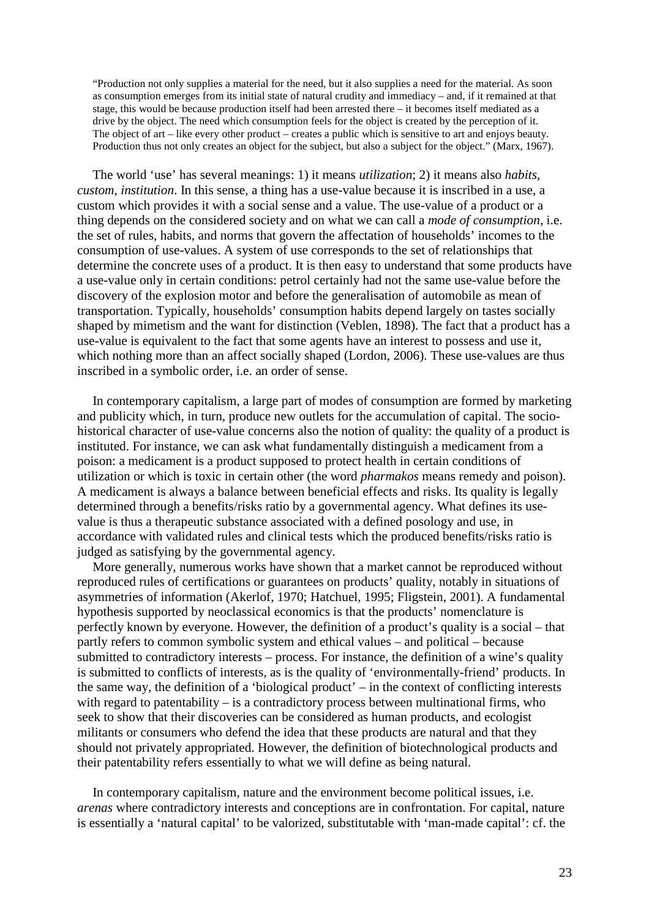"Production not only supplies a material for the need, but it also supplies a need for the material. As soon as consumption emerges from its initial state of natural crudity and immediacy – and, if it remained at that stage, this would be because production itself had been arrested there – it becomes itself mediated as a drive by the object. The need which consumption feels for the object is created by the perception of it. The object of art – like every other product – creates a public which is sensitive to art and enjoys beauty. Production thus not only creates an object for the subject, but also a subject for the object." (Marx, 1967).

The world 'use' has several meanings: 1) it means *utilization*; 2) it means also *habits, custom, institution*. In this sense, a thing has a use-value because it is inscribed in a use, a custom which provides it with a social sense and a value. The use-value of a product or a thing depends on the considered society and on what we can call a *mode of consumption*, i.e. the set of rules, habits, and norms that govern the affectation of households' incomes to the consumption of use-values. A system of use corresponds to the set of relationships that determine the concrete uses of a product. It is then easy to understand that some products have a use-value only in certain conditions: petrol certainly had not the same use-value before the discovery of the explosion motor and before the generalisation of automobile as mean of transportation. Typically, households' consumption habits depend largely on tastes socially shaped by mimetism and the want for distinction (Veblen, 1898). The fact that a product has a use-value is equivalent to the fact that some agents have an interest to possess and use it, which nothing more than an affect socially shaped (Lordon, 2006). These use-values are thus inscribed in a symbolic order, i.e. an order of sense.

 In contemporary capitalism, a large part of modes of consumption are formed by marketing and publicity which, in turn, produce new outlets for the accumulation of capital. The sociohistorical character of use-value concerns also the notion of quality: the quality of a product is instituted. For instance, we can ask what fundamentally distinguish a medicament from a poison: a medicament is a product supposed to protect health in certain conditions of utilization or which is toxic in certain other (the word *pharmakos* means remedy and poison). A medicament is always a balance between beneficial effects and risks. Its quality is legally determined through a benefits/risks ratio by a governmental agency. What defines its usevalue is thus a therapeutic substance associated with a defined posology and use, in accordance with validated rules and clinical tests which the produced benefits/risks ratio is judged as satisfying by the governmental agency.

 More generally, numerous works have shown that a market cannot be reproduced without reproduced rules of certifications or guarantees on products' quality, notably in situations of asymmetries of information (Akerlof, 1970; Hatchuel, 1995; Fligstein, 2001). A fundamental hypothesis supported by neoclassical economics is that the products' nomenclature is perfectly known by everyone. However, the definition of a product's quality is a social – that partly refers to common symbolic system and ethical values – and political – because submitted to contradictory interests – process. For instance, the definition of a wine's quality is submitted to conflicts of interests, as is the quality of 'environmentally-friend' products. In the same way, the definition of a 'biological product' – in the context of conflicting interests with regard to patentability – is a contradictory process between multinational firms, who seek to show that their discoveries can be considered as human products, and ecologist militants or consumers who defend the idea that these products are natural and that they should not privately appropriated. However, the definition of biotechnological products and their patentability refers essentially to what we will define as being natural.

 In contemporary capitalism, nature and the environment become political issues, i.e. *arenas* where contradictory interests and conceptions are in confrontation. For capital, nature is essentially a 'natural capital' to be valorized, substitutable with 'man-made capital': cf. the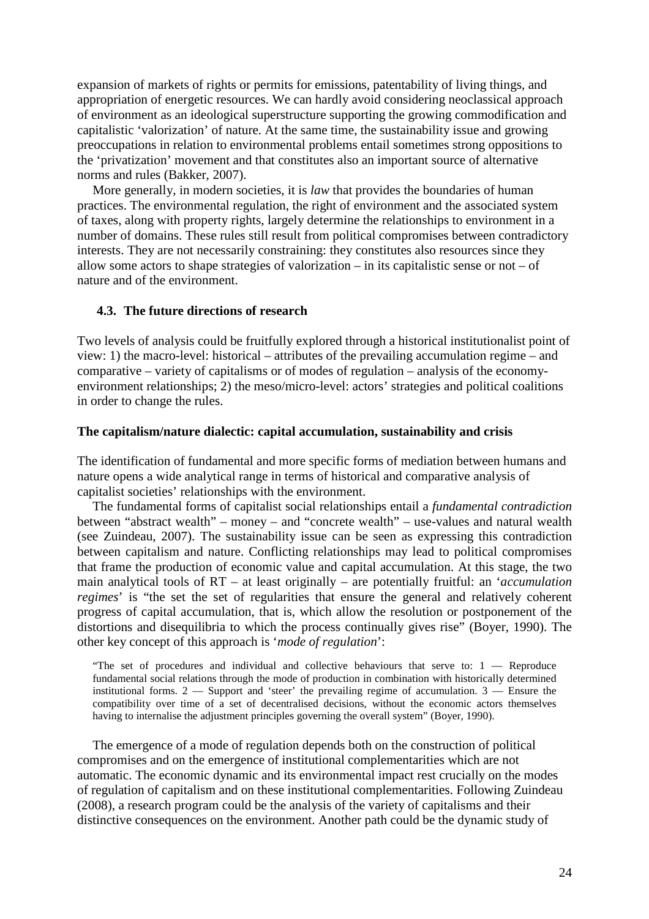expansion of markets of rights or permits for emissions, patentability of living things, and appropriation of energetic resources. We can hardly avoid considering neoclassical approach of environment as an ideological superstructure supporting the growing commodification and capitalistic 'valorization' of nature. At the same time, the sustainability issue and growing preoccupations in relation to environmental problems entail sometimes strong oppositions to the 'privatization' movement and that constitutes also an important source of alternative norms and rules (Bakker, 2007).

 More generally, in modern societies, it is *law* that provides the boundaries of human practices. The environmental regulation, the right of environment and the associated system of taxes, along with property rights, largely determine the relationships to environment in a number of domains. These rules still result from political compromises between contradictory interests. They are not necessarily constraining: they constitutes also resources since they allow some actors to shape strategies of valorization – in its capitalistic sense or not – of nature and of the environment.

### **4.3. The future directions of research**

Two levels of analysis could be fruitfully explored through a historical institutionalist point of view: 1) the macro-level: historical – attributes of the prevailing accumulation regime – and comparative – variety of capitalisms or of modes of regulation – analysis of the economyenvironment relationships; 2) the meso/micro-level: actors' strategies and political coalitions in order to change the rules.

#### **The capitalism/nature dialectic: capital accumulation, sustainability and crisis**

The identification of fundamental and more specific forms of mediation between humans and nature opens a wide analytical range in terms of historical and comparative analysis of capitalist societies' relationships with the environment.

The fundamental forms of capitalist social relationships entail a *fundamental contradiction* between "abstract wealth" – money – and "concrete wealth" – use-values and natural wealth (see Zuindeau, 2007). The sustainability issue can be seen as expressing this contradiction between capitalism and nature. Conflicting relationships may lead to political compromises that frame the production of economic value and capital accumulation. At this stage, the two main analytical tools of RT – at least originally – are potentially fruitful: an '*accumulation regimes*' is "the set the set of regularities that ensure the general and relatively coherent progress of capital accumulation, that is, which allow the resolution or postponement of the distortions and disequilibria to which the process continually gives rise" (Boyer, 1990). The other key concept of this approach is '*mode of regulation*':

"The set of procedures and individual and collective behaviours that serve to: 1 — Reproduce fundamental social relations through the mode of production in combination with historically determined institutional forms. 2 — Support and 'steer' the prevailing regime of accumulation. 3 — Ensure the compatibility over time of a set of decentralised decisions, without the economic actors themselves having to internalise the adjustment principles governing the overall system" (Boyer, 1990).

The emergence of a mode of regulation depends both on the construction of political compromises and on the emergence of institutional complementarities which are not automatic. The economic dynamic and its environmental impact rest crucially on the modes of regulation of capitalism and on these institutional complementarities. Following Zuindeau (2008), a research program could be the analysis of the variety of capitalisms and their distinctive consequences on the environment. Another path could be the dynamic study of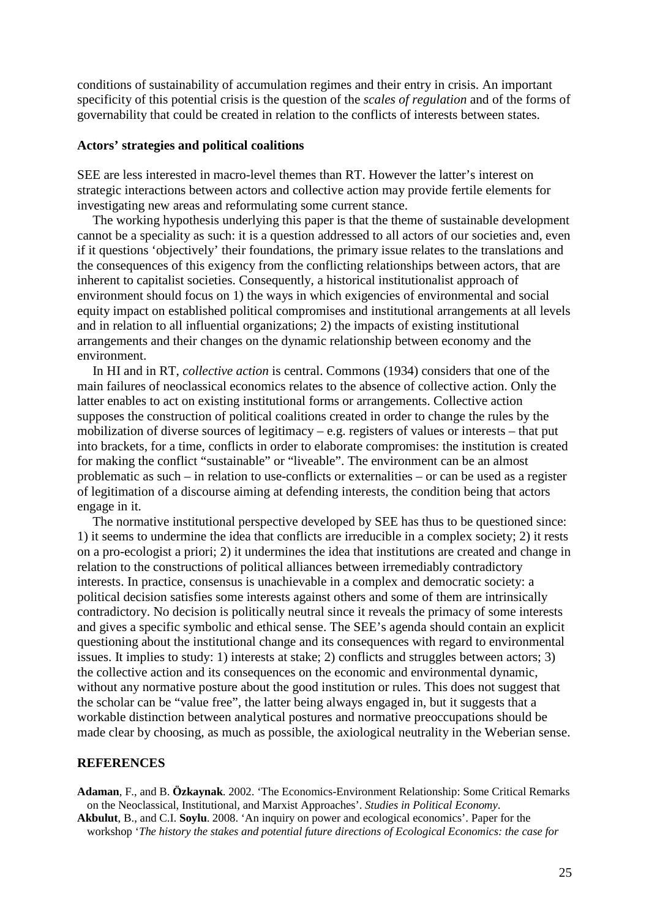conditions of sustainability of accumulation regimes and their entry in crisis. An important specificity of this potential crisis is the question of the *scales of regulation* and of the forms of governability that could be created in relation to the conflicts of interests between states.

#### **Actors' strategies and political coalitions**

SEE are less interested in macro-level themes than RT. However the latter's interest on strategic interactions between actors and collective action may provide fertile elements for investigating new areas and reformulating some current stance.

The working hypothesis underlying this paper is that the theme of sustainable development cannot be a speciality as such: it is a question addressed to all actors of our societies and, even if it questions 'objectively' their foundations, the primary issue relates to the translations and the consequences of this exigency from the conflicting relationships between actors, that are inherent to capitalist societies. Consequently, a historical institutionalist approach of environment should focus on 1) the ways in which exigencies of environmental and social equity impact on established political compromises and institutional arrangements at all levels and in relation to all influential organizations; 2) the impacts of existing institutional arrangements and their changes on the dynamic relationship between economy and the environment.

In HI and in RT, *collective action* is central. Commons (1934) considers that one of the main failures of neoclassical economics relates to the absence of collective action. Only the latter enables to act on existing institutional forms or arrangements. Collective action supposes the construction of political coalitions created in order to change the rules by the mobilization of diverse sources of legitimacy – e.g. registers of values or interests – that put into brackets, for a time, conflicts in order to elaborate compromises: the institution is created for making the conflict "sustainable" or "liveable". The environment can be an almost problematic as such – in relation to use-conflicts or externalities – or can be used as a register of legitimation of a discourse aiming at defending interests, the condition being that actors engage in it.

 The normative institutional perspective developed by SEE has thus to be questioned since: 1) it seems to undermine the idea that conflicts are irreducible in a complex society; 2) it rests on a pro-ecologist a priori; 2) it undermines the idea that institutions are created and change in relation to the constructions of political alliances between irremediably contradictory interests. In practice, consensus is unachievable in a complex and democratic society: a political decision satisfies some interests against others and some of them are intrinsically contradictory. No decision is politically neutral since it reveals the primacy of some interests and gives a specific symbolic and ethical sense. The SEE's agenda should contain an explicit questioning about the institutional change and its consequences with regard to environmental issues. It implies to study: 1) interests at stake; 2) conflicts and struggles between actors; 3) the collective action and its consequences on the economic and environmental dynamic, without any normative posture about the good institution or rules. This does not suggest that the scholar can be "value free", the latter being always engaged in, but it suggests that a workable distinction between analytical postures and normative preoccupations should be made clear by choosing, as much as possible, the axiological neutrality in the Weberian sense.

#### **REFERENCES**

**Adaman**, F., and B. **Özkaynak**. 2002. 'The Economics-Environment Relationship: Some Critical Remarks on the Neoclassical, Institutional, and Marxist Approaches'. *Studies in Political Economy*.

**Akbulut**, B., and C.I. **Soylu**. 2008. 'An inquiry on power and ecological economics'. Paper for the workshop '*The history the stakes and potential future directions of Ecological Economics: the case for*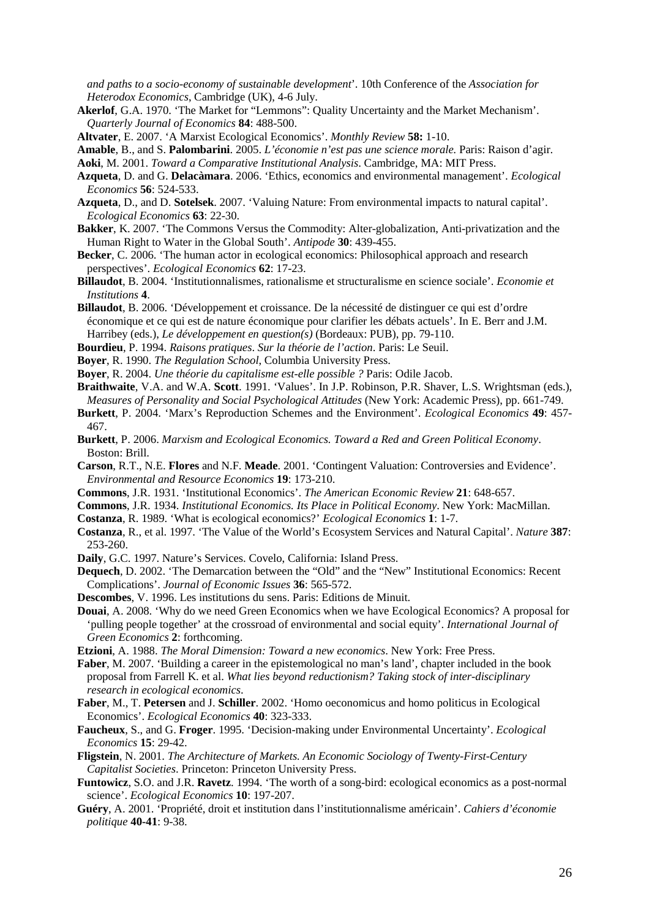*and paths to a socio-economy of sustainable development*'. 10th Conference of the *Association for Heterodox Economics*, Cambridge (UK), 4-6 July.

- **Akerlof**, G.A. 1970. 'The Market for "Lemmons": Quality Uncertainty and the Market Mechanism'. *Quarterly Journal of Economics* **84**: 488-500.
- **Altvater**, E. 2007. 'A Marxist Ecological Economics'. *Monthly Review* **58:** 1-10.

**Amable**, B., and S. **Palombarini**. 2005. *L'économie n'est pas une science morale.* Paris: Raison d'agir.

**Aoki**, M. 2001. *Toward a Comparative Institutional Analysis*. Cambridge, MA: MIT Press.

- **Azqueta**, D. and G. **Delacàmara**. 2006. 'Ethics, economics and environmental management'. *Ecological Economics* **56**: 524-533.
- **Azqueta**, D., and D. **Sotelsek**. 2007. 'Valuing Nature: From environmental impacts to natural capital'. *Ecological Economics* **63**: 22-30.
- **Bakker**, K. 2007. 'The Commons Versus the Commodity: Alter-globalization, Anti-privatization and the Human Right to Water in the Global South'. *Antipode* **30**: 439-455.
- **Becker**, C. 2006. 'The human actor in ecological economics: Philosophical approach and research perspectives'. *Ecological Economics* **62**: 17-23.
- **Billaudot**, B. 2004. 'Institutionnalismes, rationalisme et structuralisme en science sociale'. *Economie et Institutions* **4**.
- **Billaudot**, B. 2006. 'Développement et croissance. De la nécessité de distinguer ce qui est d'ordre économique et ce qui est de nature économique pour clarifier les débats actuels'. In E. Berr and J.M. Harribey (eds.), *Le développement en question(s)* (Bordeaux: PUB), pp. 79-110.
- **Bourdieu**, P. 1994. *Raisons pratiques*. *Sur la théorie de l'action*. Paris: Le Seuil.
- **Boyer**, R. 1990. *The Regulation School*, Columbia University Press.
- **Boyer**, R. 2004. *Une théorie du capitalisme est-elle possible ?* Paris: Odile Jacob.
- **Braithwaite**, V.A. and W.A. **Scott**. 1991. 'Values'. In J.P. Robinson, P.R. Shaver, L.S. Wrightsman (eds.), *Measures of Personality and Social Psychological Attitudes* (New York: Academic Press), pp. 661-749.

**Burkett**, P. 2004. 'Marx's Reproduction Schemes and the Environment'. *Ecological Economics* **49**: 457- 467.

- **Burkett**, P. 2006. *Marxism and Ecological Economics. Toward a Red and Green Political Economy*. Boston: Brill.
- **Carson**, R.T., N.E. **Flores** and N.F. **Meade**. 2001. 'Contingent Valuation: Controversies and Evidence'. *Environmental and Resource Economics* **19**: 173-210.
- **Commons**, J.R. 1931. 'Institutional Economics'. *The American Economic Review* **21**: 648-657.
- **Commons**, J.R. 1934. *Institutional Economics. Its Place in Political Economy*. New York: MacMillan.
- **Costanza**, R. 1989. 'What is ecological economics?' *Ecological Economics* **1**: 1-7.
- **Costanza**, R., et al. 1997. 'The Value of the World's Ecosystem Services and Natural Capital'. *Nature* **387**: 253-260.
- **Daily**, G.C. 1997. Nature's Services. Covelo, California: Island Press.
- **Dequech**, D. 2002. 'The Demarcation between the "Old" and the "New" Institutional Economics: Recent Complications'. *Journal of Economic Issues* **36**: 565-572.
- **Descombes**, V. 1996. Les institutions du sens. Paris: Editions de Minuit.
- **Douai**, A. 2008. 'Why do we need Green Economics when we have Ecological Economics? A proposal for 'pulling people together' at the crossroad of environmental and social equity'. *International Journal of Green Economics* **2**: forthcoming.
- **Etzioni**, A. 1988. *The Moral Dimension: Toward a new economics*. New York: Free Press.
- **Faber**, M. 2007. 'Building a career in the epistemological no man's land', chapter included in the book proposal from Farrell K. et al. *What lies beyond reductionism? Taking stock of inter-disciplinary research in ecological economics*.
- **Faber**, M., T. **Petersen** and J. **Schiller**. 2002. 'Homo oeconomicus and homo politicus in Ecological Economics'. *Ecological Economics* **40**: 323-333.
- **Faucheux**, S., and G. **Froger**. 1995. 'Decision-making under Environmental Uncertainty'. *Ecological Economics* **15**: 29-42.
- **Fligstein**, N. 2001. *The Architecture of Markets. An Economic Sociology of Twenty-First-Century Capitalist Societies*. Princeton: Princeton University Press.
- **Funtowicz**, S.O. and J.R. **Ravetz**. 1994. 'The worth of a song-bird: ecological economics as a post-normal science'. *Ecological Economics* **10**: 197-207.
- **Guéry**, A. 2001. 'Propriété, droit et institution dans l'institutionnalisme américain'. *Cahiers d'économie politique* **40-41**: 9-38.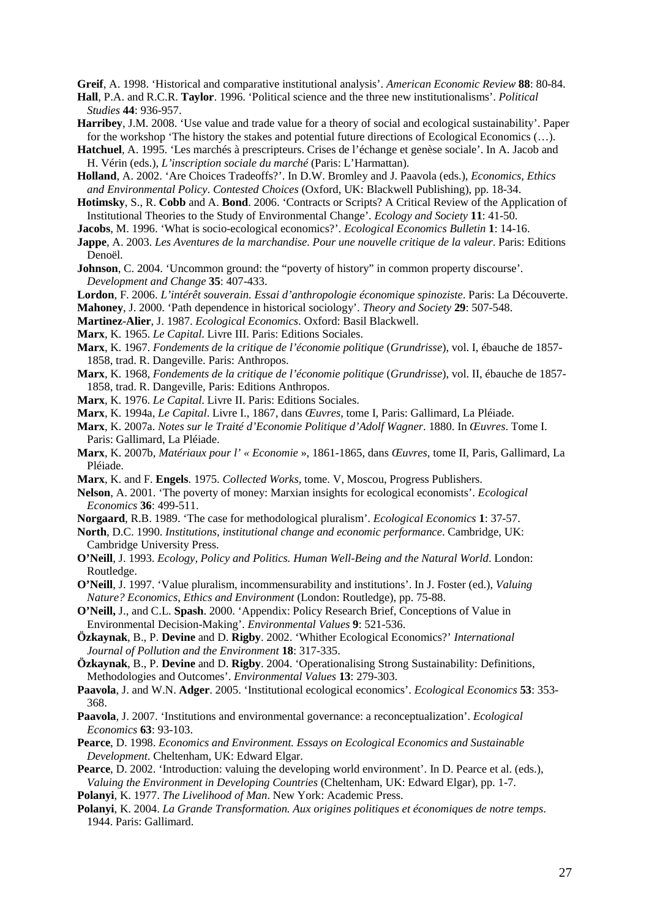**Greif**, A. 1998. 'Historical and comparative institutional analysis'. *American Economic Review* **88**: 80-84.

- **Hall**, P.A. and R.C.R. **Taylor**. 1996. 'Political science and the three new institutionalisms'. *Political Studies* **44**: 936-957.
- **Harribey**, J.M. 2008. 'Use value and trade value for a theory of social and ecological sustainability'. Paper for the workshop 'The history the stakes and potential future directions of Ecological Economics (…).
- **Hatchuel**, A. 1995. 'Les marchés à prescripteurs. Crises de l'échange et genèse sociale'. In A. Jacob and H. Vérin (eds.), *L'inscription sociale du marché* (Paris: L'Harmattan).
- **Holland**, A. 2002. 'Are Choices Tradeoffs?'. In D.W. Bromley and J. Paavola (eds.), *Economics, Ethics and Environmental Policy*. *Contested Choices* (Oxford, UK: Blackwell Publishing), pp. 18-34.
- **Hotimsky**, S., R. **Cobb** and A. **Bond**. 2006. 'Contracts or Scripts? A Critical Review of the Application of Institutional Theories to the Study of Environmental Change'. *Ecology and Society* **11**: 41-50.
- **Jacobs**, M. 1996. 'What is socio-ecological economics?'. *Ecological Economics Bulletin* **1**: 14-16.
- **Jappe**, A. 2003. *Les Aventures de la marchandise. Pour une nouvelle critique de la valeur*. Paris: Editions Denoël.
- **Johnson**, C. 2004. 'Uncommon ground: the "poverty of history" in common property discourse'. *Development and Change* **35**: 407-433.

**Lordon**, F. 2006. *L'intérêt souverain. Essai d'anthropologie économique spinoziste*. Paris: La Découverte.

- **Mahoney**, J. 2000. 'Path dependence in historical sociology'. *Theory and Society* **29**: 507-548.
- **Martinez-Alier**, J. 1987. *Ecological Economics*. Oxford: Basil Blackwell.
- **Marx**, K. 1965. *Le Capital*. Livre III. Paris: Editions Sociales.
- **Marx**, K. 1967. *Fondements de la critique de l'économie politique* (*Grundrisse*), vol. I, ébauche de 1857- 1858, trad. R. Dangeville. Paris: Anthropos.
- **Marx**, K. 1968, *Fondements de la critique de l'économie politique* (*Grundrisse*), vol. II, ébauche de 1857- 1858, trad. R. Dangeville, Paris: Editions Anthropos.
- **Marx**, K. 1976. *Le Capital*. Livre II. Paris: Editions Sociales.
- **Marx**, K. 1994a, *Le Capital*. Livre I., 1867, dans *Œuvres,* tome I, Paris: Gallimard, La Pléiade.
- **Marx**, K. 2007a. *Notes sur le Traité d'Economie Politique d'Adolf Wagner*. 1880. In *Œuvres*. Tome I. Paris: Gallimard, La Pléiade.
- **Marx**, K. 2007b, *Matériaux pour l' « Economie* », 1861-1865, dans *Œuvres,* tome II, Paris, Gallimard, La Pléiade.
- **Marx**, K. and F. **Engels**. 1975. *Collected Works*, tome. V, Moscou, Progress Publishers.
- **Nelson**, A. 2001. 'The poverty of money: Marxian insights for ecological economists'. *Ecological Economics* **36**: 499-511.
- **Norgaard**, R.B. 1989. 'The case for methodological pluralism'. *Ecological Economics* **1**: 37-57.
- **North**, D.C. 1990. *Institutions, institutional change and economic performance*. Cambridge, UK: Cambridge University Press.
- **O'Neill**, J. 1993. *Ecology, Policy and Politics. Human Well-Being and the Natural World*. London: Routledge.
- **O'Neill**, J. 1997. 'Value pluralism, incommensurability and institutions'. In J. Foster (ed.), *Valuing Nature? Economics, Ethics and Environment* (London: Routledge), pp. 75-88.
- **O'Neill,** J., and C.L. **Spash**. 2000. 'Appendix: Policy Research Brief, Conceptions of Value in Environmental Decision-Making'. *Environmental Values* **9**: 521-536.
- **Özkaynak**, B., P. **Devine** and D. **Rigby**. 2002. 'Whither Ecological Economics?' *International Journal of Pollution and the Environment* **18**: 317-335.
- **Özkaynak**, B., P. **Devine** and D. **Rigby**. 2004. 'Operationalising Strong Sustainability: Definitions, Methodologies and Outcomes'. *Environmental Values* **13**: 279-303.
- **Paavola**, J. and W.N. **Adger**. 2005. 'Institutional ecological economics'. *Ecological Economics* **53**: 353- 368.
- **Paavola**, J. 2007. 'Institutions and environmental governance: a reconceptualization'. *Ecological Economics* **63**: 93-103.
- **Pearce**, D. 1998. *Economics and Environment. Essays on Ecological Economics and Sustainable Development*. Cheltenham, UK: Edward Elgar.
- **Pearce**, D. 2002. 'Introduction: valuing the developing world environment'. In D. Pearce et al. (eds.), *Valuing the Environment in Developing Countries* (Cheltenham, UK: Edward Elgar), pp. 1-7.
- **Polanyi**, K. 1977. *The Livelihood of Man*. New York: Academic Press.
- **Polanyi**, K. 2004. *La Grande Transformation. Aux origines politiques et économiques de notre temps*. 1944. Paris: Gallimard.